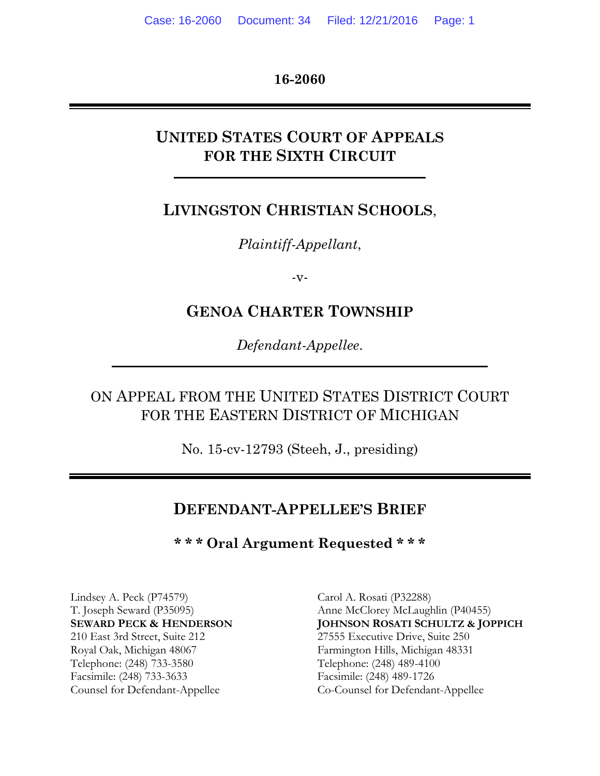**16-2060**

## **UNITED STATES COURT OF APPEALS FOR THE SIXTH CIRCUIT**

#### **LIVINGSTON CHRISTIAN SCHOOLS**,

*Plaintiff-Appellant*,

 $-V$ -

### **GENOA CHARTER TOWNSHIP**

*Defendant-Appellee*.

## ON APPEAL FROM THE UNITED STATES DISTRICT COURT FOR THE EASTERN DISTRICT OF MICHIGAN

No. 15-cv-12793 (Steeh, J., presiding)

#### **DEFENDANT-APPELLEE'S BRIEF**

**\* \* \* Oral Argument Requested \* \* \***

Lindsey A. Peck (P74579) Carol A. Rosati (P32288) 210 East 3rd Street, Suite 212 27555 Executive Drive, Suite 250 Royal Oak, Michigan 48067 Farmington Hills, Michigan 48331 Telephone: (248) 733-3580 Telephone: (248) 489-4100 Facsimile: (248) 733-3633 Facsimile: (248) 489-1726

T. Joseph Seward (P35095) Anne McClorey McLaughlin (P40455) **SEWARD PECK & HENDERSON JOHNSON ROSATI SCHULTZ & JOPPICH** Counsel for Defendant-Appellee Co-Counsel for Defendant-Appellee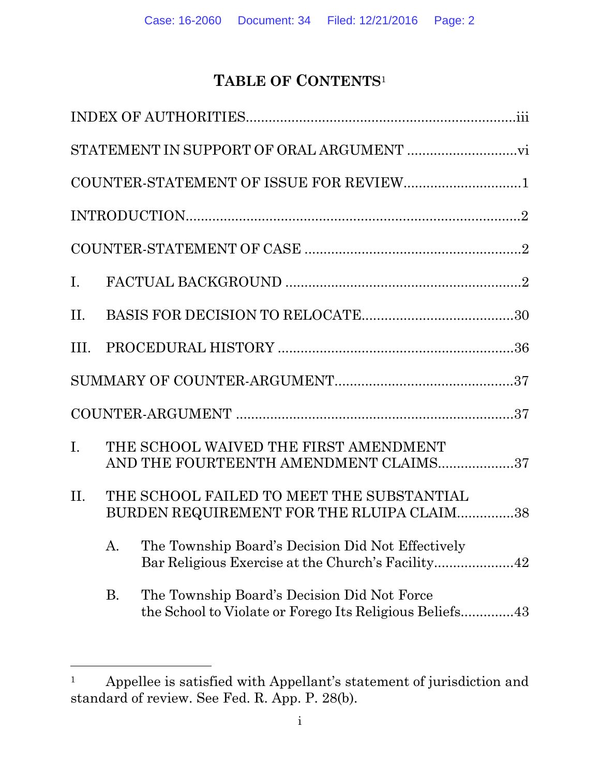# **TABLE OF CONTENTS**<sup>1</sup>

|     |           | COUNTER-STATEMENT OF ISSUE FOR REVIEW1                                                 |  |
|-----|-----------|----------------------------------------------------------------------------------------|--|
|     |           |                                                                                        |  |
|     |           |                                                                                        |  |
| I.  |           |                                                                                        |  |
| II. |           |                                                                                        |  |
|     |           |                                                                                        |  |
|     |           |                                                                                        |  |
|     |           |                                                                                        |  |
| I.  |           | THE SCHOOL WAIVED THE FIRST AMENDMENT<br>AND THE FOURTEENTH AMENDMENT CLAIMS37         |  |
| II. |           | THE SCHOOL FAILED TO MEET THE SUBSTANTIAL<br>BURDEN REQUIREMENT FOR THE RLUIPA CLAIM38 |  |
|     |           | A. The Township Board's Decision Did Not Effectively                                   |  |
|     | <b>B.</b> | The Township Board's Decision Did Not Force                                            |  |

 $\overline{a}$ 

<sup>1</sup> Appellee is satisfied with Appellant's statement of jurisdiction and standard of review. See Fed. R. App. P. 28(b).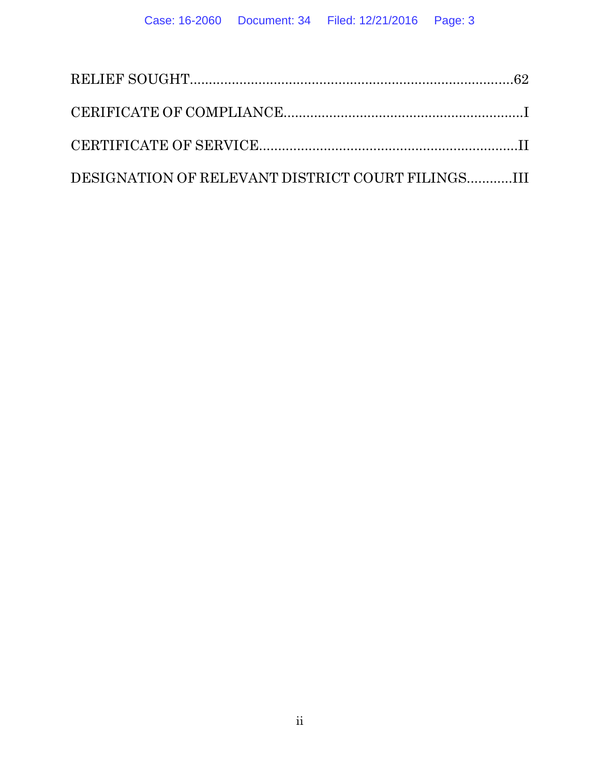| DESIGNATION OF RELEVANT DISTRICT COURT FILINGSIII |  |
|---------------------------------------------------|--|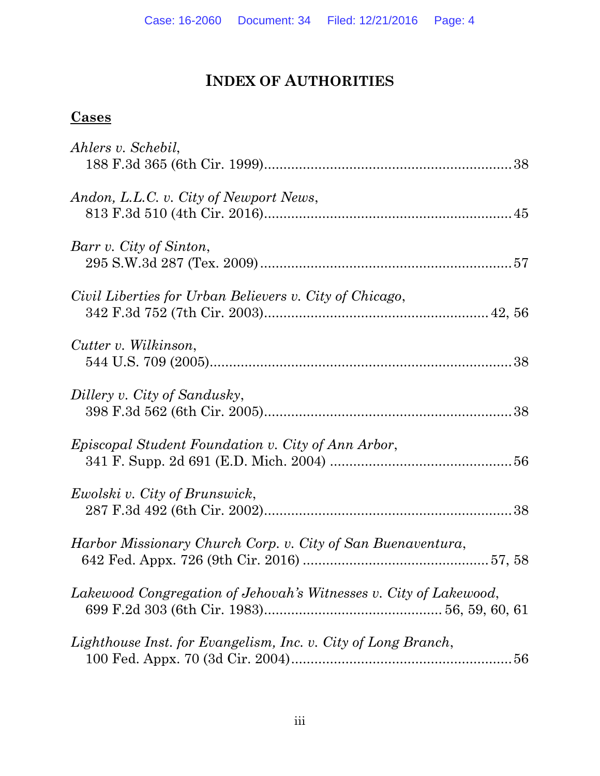# **INDEX OF AUTHORITIES**

## **Cases**

| Ahlers v. Schebil,                                                |
|-------------------------------------------------------------------|
| Andon, L.L.C. v. City of Newport News,                            |
| Barr v. City of Sinton,                                           |
| Civil Liberties for Urban Believers v. City of Chicago,           |
| Cutter v. Wilkinson,                                              |
| Dillery v. City of Sandusky,                                      |
| <i>Episcopal Student Foundation v. City of Ann Arbor,</i>         |
| Ewolski v. City of Brunswick,                                     |
| Harbor Missionary Church Corp. v. City of San Buenaventura,       |
| Lakewood Congregation of Jehovah's Witnesses v. City of Lakewood, |
| Lighthouse Inst. for Evangelism, Inc. v. City of Long Branch,     |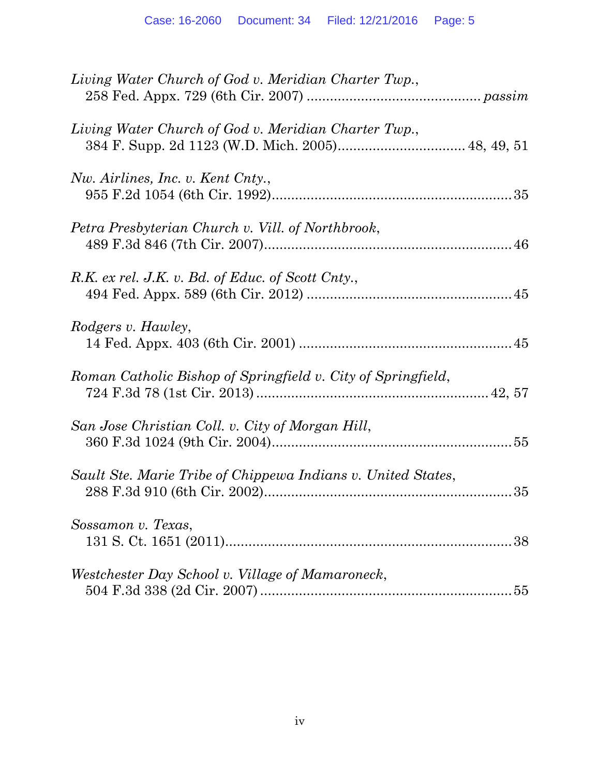| Living Water Church of God v. Meridian Charter Twp.,         |  |
|--------------------------------------------------------------|--|
| Living Water Church of God v. Meridian Charter Twp.,         |  |
| Nw. Airlines, Inc. v. Kent Cnty.,                            |  |
| Petra Presbyterian Church v. Vill. of Northbrook,            |  |
| R.K. ex rel. J.K. v. Bd. of Educ. of Scott Cnty.,            |  |
| Rodgers v. Hawley,                                           |  |
| Roman Catholic Bishop of Springfield v. City of Springfield, |  |
| San Jose Christian Coll. v. City of Morgan Hill,             |  |
| Sault Ste. Marie Tribe of Chippewa Indians v. United States, |  |
| Sossamon v. Texas,                                           |  |
| Westchester Day School v. Village of Mamaroneck,             |  |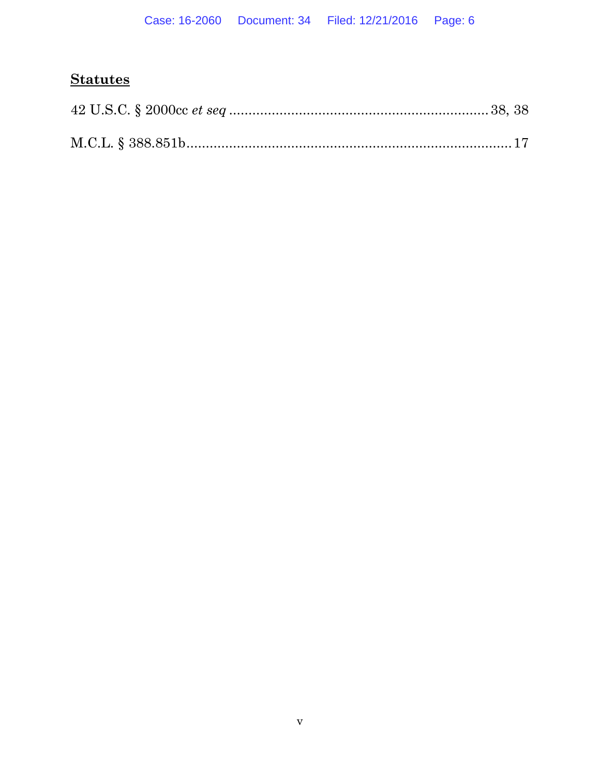## **Statutes**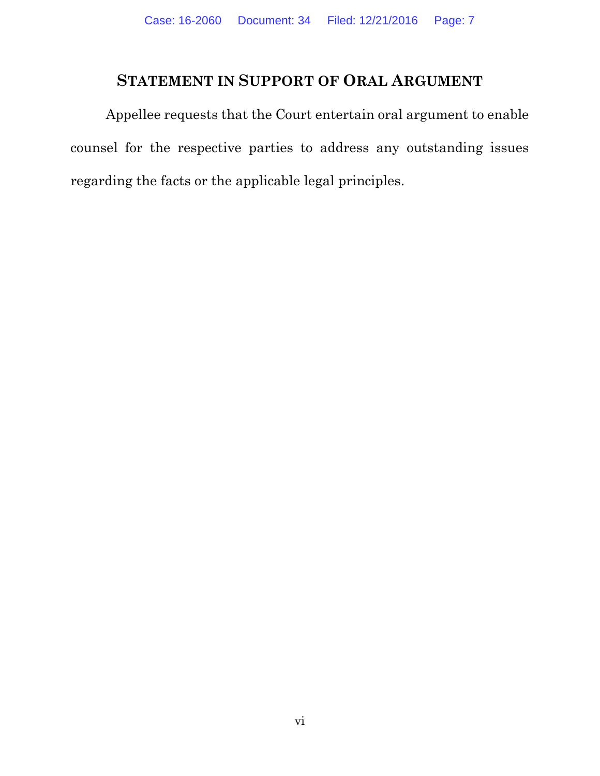### **STATEMENT IN SUPPORT OF ORAL ARGUMENT**

Appellee requests that the Court entertain oral argument to enable counsel for the respective parties to address any outstanding issues regarding the facts or the applicable legal principles.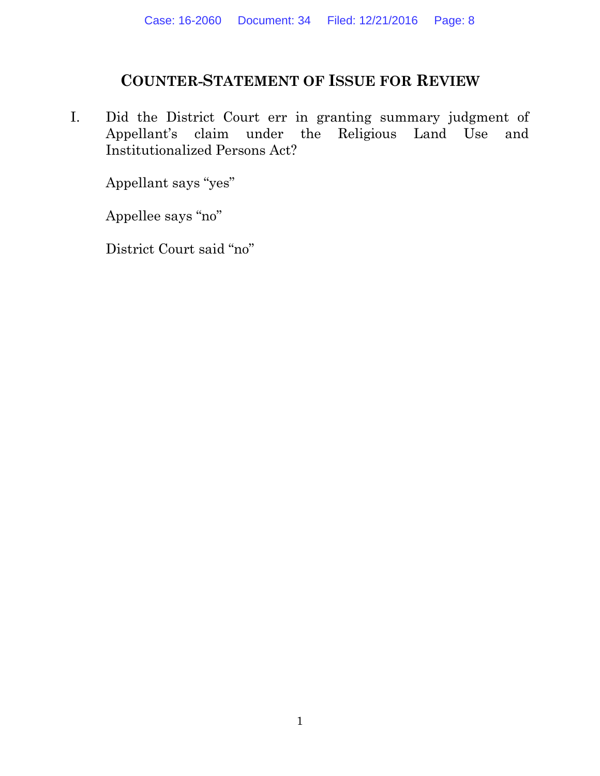### **COUNTER-STATEMENT OF ISSUE FOR REVIEW**

I. Did the District Court err in granting summary judgment of Appellant's claim under the Religious Land Use and Institutionalized Persons Act?

Appellant says "yes"

Appellee says "no"

District Court said "no"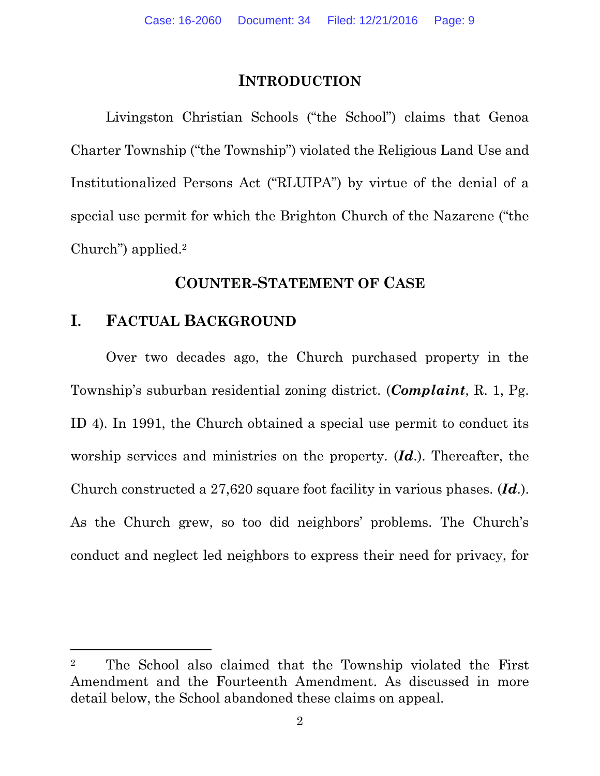### **INTRODUCTION**

Livingston Christian Schools ("the School") claims that Genoa Charter Township ("the Township") violated the Religious Land Use and Institutionalized Persons Act ("RLUIPA") by virtue of the denial of a special use permit for which the Brighton Church of the Nazarene ("the Church") applied.<sup>2</sup>

### **COUNTER-STATEMENT OF CASE**

## **I. FACTUAL BACKGROUND**

 $\overline{a}$ 

Over two decades ago, the Church purchased property in the Township's suburban residential zoning district. (*Complaint*, R. 1, Pg. ID 4). In 1991, the Church obtained a special use permit to conduct its worship services and ministries on the property. (*Id*.). Thereafter, the Church constructed a 27,620 square foot facility in various phases. (*Id*.). As the Church grew, so too did neighbors' problems. The Church's conduct and neglect led neighbors to express their need for privacy, for

<sup>2</sup> The School also claimed that the Township violated the First Amendment and the Fourteenth Amendment. As discussed in more detail below, the School abandoned these claims on appeal.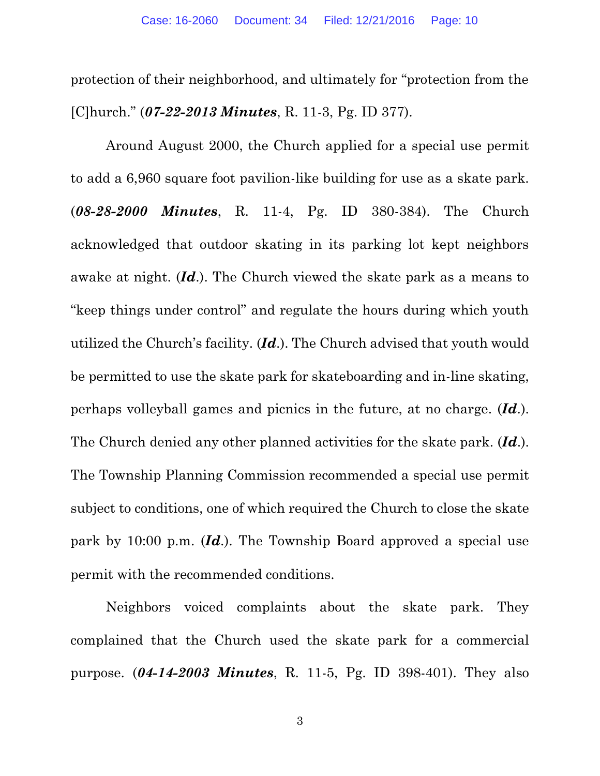protection of their neighborhood, and ultimately for "protection from the [C]hurch." (*07-22-2013 Minutes*, R. 11-3, Pg. ID 377).

Around August 2000, the Church applied for a special use permit to add a 6,960 square foot pavilion-like building for use as a skate park. (*08-28-2000 Minutes*, R. 11-4, Pg. ID 380-384). The Church acknowledged that outdoor skating in its parking lot kept neighbors awake at night. (*Id*.). The Church viewed the skate park as a means to "keep things under control" and regulate the hours during which youth utilized the Church's facility. (*Id*.). The Church advised that youth would be permitted to use the skate park for skateboarding and in-line skating, perhaps volleyball games and picnics in the future, at no charge. (*Id*.). The Church denied any other planned activities for the skate park. (*Id*.). The Township Planning Commission recommended a special use permit subject to conditions, one of which required the Church to close the skate park by 10:00 p.m. (*Id*.). The Township Board approved a special use permit with the recommended conditions.

Neighbors voiced complaints about the skate park. They complained that the Church used the skate park for a commercial purpose. (*04-14-2003 Minutes*, R. 11-5, Pg. ID 398-401). They also

3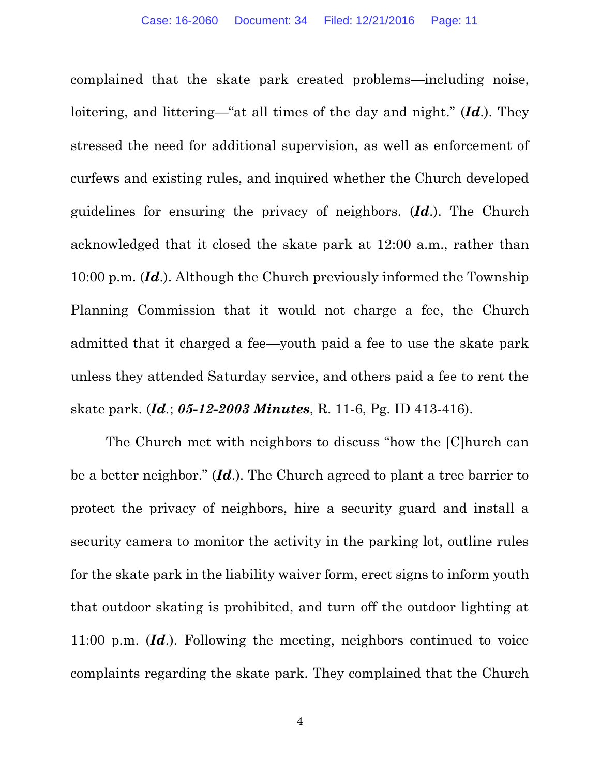complained that the skate park created problems—including noise, loitering, and littering—"at all times of the day and night." (*Id*.). They stressed the need for additional supervision, as well as enforcement of curfews and existing rules, and inquired whether the Church developed guidelines for ensuring the privacy of neighbors. (*Id*.). The Church acknowledged that it closed the skate park at 12:00 a.m., rather than 10:00 p.m. (*Id*.). Although the Church previously informed the Township Planning Commission that it would not charge a fee, the Church admitted that it charged a fee—youth paid a fee to use the skate park unless they attended Saturday service, and others paid a fee to rent the skate park. (*Id.*; *05-12-2003 Minutes*, R. 11-6, Pg. ID 413-416).

The Church met with neighbors to discuss "how the [C]hurch can be a better neighbor." (*Id*.). The Church agreed to plant a tree barrier to protect the privacy of neighbors, hire a security guard and install a security camera to monitor the activity in the parking lot, outline rules for the skate park in the liability waiver form, erect signs to inform youth that outdoor skating is prohibited, and turn off the outdoor lighting at 11:00 p.m. (*Id*.). Following the meeting, neighbors continued to voice complaints regarding the skate park. They complained that the Church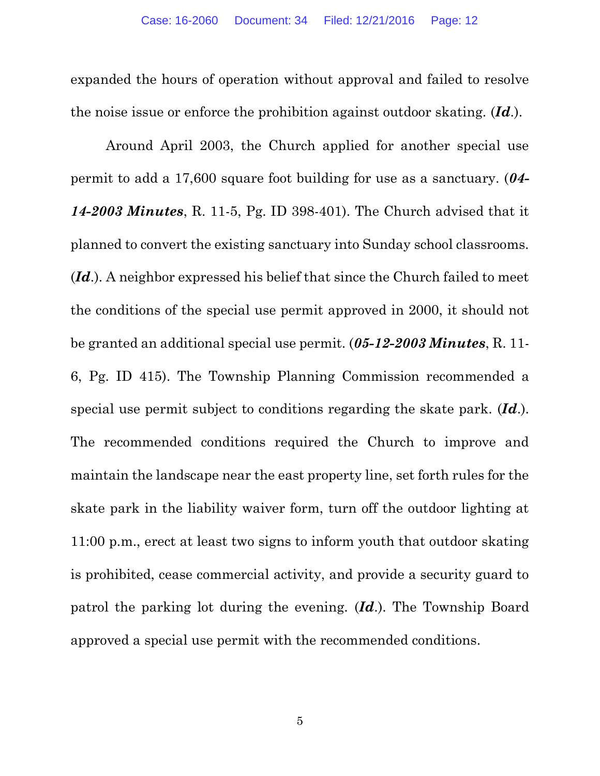expanded the hours of operation without approval and failed to resolve the noise issue or enforce the prohibition against outdoor skating. (*Id*.).

Around April 2003, the Church applied for another special use permit to add a 17,600 square foot building for use as a sanctuary. (*04- 14-2003 Minutes*, R. 11-5, Pg. ID 398-401). The Church advised that it planned to convert the existing sanctuary into Sunday school classrooms. (*Id*.). A neighbor expressed his belief that since the Church failed to meet the conditions of the special use permit approved in 2000, it should not be granted an additional special use permit. (*05-12-2003 Minutes*, R. 11- 6, Pg. ID 415). The Township Planning Commission recommended a special use permit subject to conditions regarding the skate park. (*Id*.). The recommended conditions required the Church to improve and maintain the landscape near the east property line, set forth rules for the skate park in the liability waiver form, turn off the outdoor lighting at 11:00 p.m., erect at least two signs to inform youth that outdoor skating is prohibited, cease commercial activity, and provide a security guard to patrol the parking lot during the evening. (*Id*.). The Township Board approved a special use permit with the recommended conditions.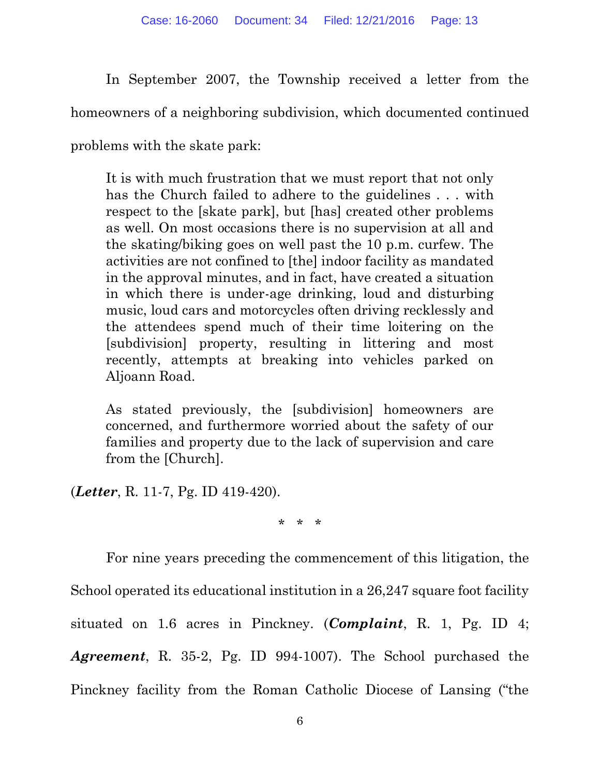In September 2007, the Township received a letter from the

homeowners of a neighboring subdivision, which documented continued

problems with the skate park:

It is with much frustration that we must report that not only has the Church failed to adhere to the guidelines . . . with respect to the [skate park], but [has] created other problems as well. On most occasions there is no supervision at all and the skating/biking goes on well past the 10 p.m. curfew. The activities are not confined to [the] indoor facility as mandated in the approval minutes, and in fact, have created a situation in which there is under-age drinking, loud and disturbing music, loud cars and motorcycles often driving recklessly and the attendees spend much of their time loitering on the [subdivision] property, resulting in littering and most recently, attempts at breaking into vehicles parked on Aljoann Road.

As stated previously, the [subdivision] homeowners are concerned, and furthermore worried about the safety of our families and property due to the lack of supervision and care from the [Church].

(*Letter*, R. 11-7, Pg. ID 419-420).

\* \* \*

For nine years preceding the commencement of this litigation, the School operated its educational institution in a 26,247 square foot facility situated on 1.6 acres in Pinckney. (*Complaint*, R. 1, Pg. ID 4; *Agreement*, R. 35-2, Pg. ID 994-1007). The School purchased the Pinckney facility from the Roman Catholic Diocese of Lansing ("the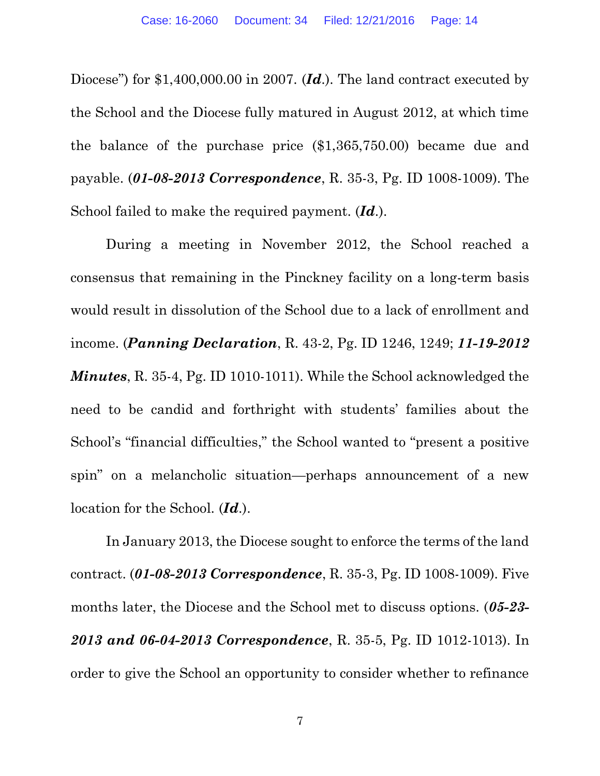Diocese") for \$1,400,000.00 in 2007. (*Id.*). The land contract executed by the School and the Diocese fully matured in August 2012, at which time the balance of the purchase price (\$1,365,750.00) became due and payable. (*01-08-2013 Correspondence*, R. 35-3, Pg. ID 1008-1009). The School failed to make the required payment. (*Id*.).

During a meeting in November 2012, the School reached a consensus that remaining in the Pinckney facility on a long-term basis would result in dissolution of the School due to a lack of enrollment and income. (*Panning Declaration*, R. 43-2, Pg. ID 1246, 1249; *11-19-2012 Minutes*, R. 35-4, Pg. ID 1010-1011). While the School acknowledged the need to be candid and forthright with students' families about the School's "financial difficulties," the School wanted to "present a positive spin" on a melancholic situation—perhaps announcement of a new location for the School. (*Id*.).

In January 2013, the Diocese sought to enforce the terms of the land contract. (*01-08-2013 Correspondence*, R. 35-3, Pg. ID 1008-1009). Five months later, the Diocese and the School met to discuss options. (*05-23- 2013 and 06-04-2013 Correspondence*, R. 35-5, Pg. ID 1012-1013). In order to give the School an opportunity to consider whether to refinance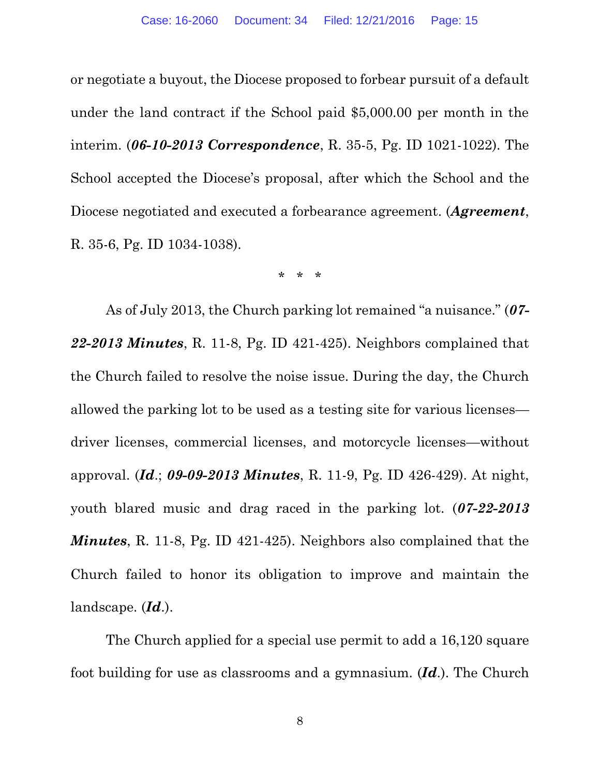or negotiate a buyout, the Diocese proposed to forbear pursuit of a default under the land contract if the School paid \$5,000.00 per month in the interim. (*06-10-2013 Correspondence*, R. 35-5, Pg. ID 1021-1022). The School accepted the Diocese's proposal, after which the School and the Diocese negotiated and executed a forbearance agreement. (*Agreement*, R. 35-6, Pg. ID 1034-1038).

\* \* \*

As of July 2013, the Church parking lot remained "a nuisance." (*07- 22-2013 Minutes*, R. 11-8, Pg. ID 421-425). Neighbors complained that the Church failed to resolve the noise issue. During the day, the Church allowed the parking lot to be used as a testing site for various licenses driver licenses, commercial licenses, and motorcycle licenses—without approval. (*Id*.; *09-09-2013 Minutes*, R. 11-9, Pg. ID 426-429). At night, youth blared music and drag raced in the parking lot. (*07-22-2013 Minutes*, R. 11-8, Pg. ID 421-425). Neighbors also complained that the Church failed to honor its obligation to improve and maintain the landscape. (*Id*.).

The Church applied for a special use permit to add a 16,120 square foot building for use as classrooms and a gymnasium. (*Id*.). The Church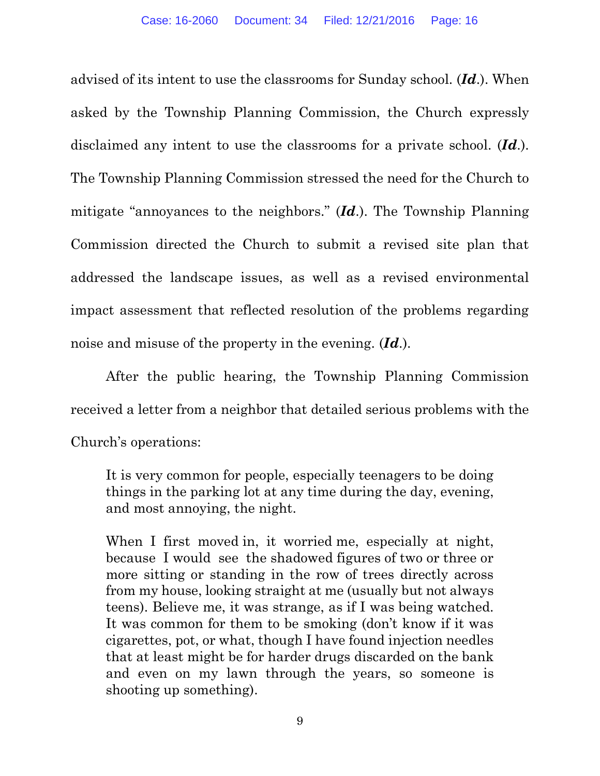advised of its intent to use the classrooms for Sunday school. (*Id*.). When asked by the Township Planning Commission, the Church expressly disclaimed any intent to use the classrooms for a private school. (*Id*.). The Township Planning Commission stressed the need for the Church to mitigate "annoyances to the neighbors." (*Id*.). The Township Planning Commission directed the Church to submit a revised site plan that addressed the landscape issues, as well as a revised environmental impact assessment that reflected resolution of the problems regarding noise and misuse of the property in the evening. (*Id*.).

After the public hearing, the Township Planning Commission received a letter from a neighbor that detailed serious problems with the Church's operations:

It is very common for people, especially teenagers to be doing things in the parking lot at any time during the day, evening, and most annoying, the night.

When I first moved in, it worried me, especially at night, because I would see the shadowed figures of two or three or more sitting or standing in the row of trees directly across from my house, looking straight at me (usually but not always teens). Believe me, it was strange, as if I was being watched. It was common for them to be smoking (don't know if it was cigarettes, pot, or what, though I have found injection needles that at least might be for harder drugs discarded on the bank and even on my lawn through the years, so someone is shooting up something).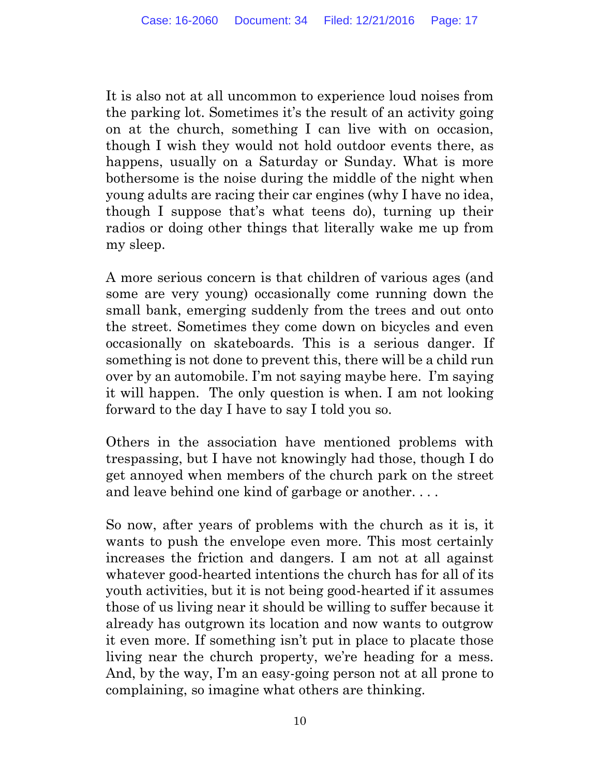It is also not at all uncommon to experience loud noises from the parking lot. Sometimes it's the result of an activity going on at the church, something I can live with on occasion, though I wish they would not hold outdoor events there, as happens, usually on a Saturday or Sunday. What is more bothersome is the noise during the middle of the night when young adults are racing their car engines (why I have no idea, though I suppose that's what teens do), turning up their radios or doing other things that literally wake me up from my sleep.

A more serious concern is that children of various ages (and some are very young) occasionally come running down the small bank, emerging suddenly from the trees and out onto the street. Sometimes they come down on bicycles and even occasionally on skateboards. This is a serious danger. If something is not done to prevent this, there will be a child run over by an automobile. I'm not saying maybe here. I'm saying it will happen. The only question is when. I am not looking forward to the day I have to say I told you so.

Others in the association have mentioned problems with trespassing, but I have not knowingly had those, though I do get annoyed when members of the church park on the street and leave behind one kind of garbage or another. . . .

So now, after years of problems with the church as it is, it wants to push the envelope even more. This most certainly increases the friction and dangers. I am not at all against whatever good-hearted intentions the church has for all of its youth activities, but it is not being good-hearted if it assumes those of us living near it should be willing to suffer because it already has outgrown its location and now wants to outgrow it even more. If something isn't put in place to placate those living near the church property, we're heading for a mess. And, by the way, I'm an easy-going person not at all prone to complaining, so imagine what others are thinking.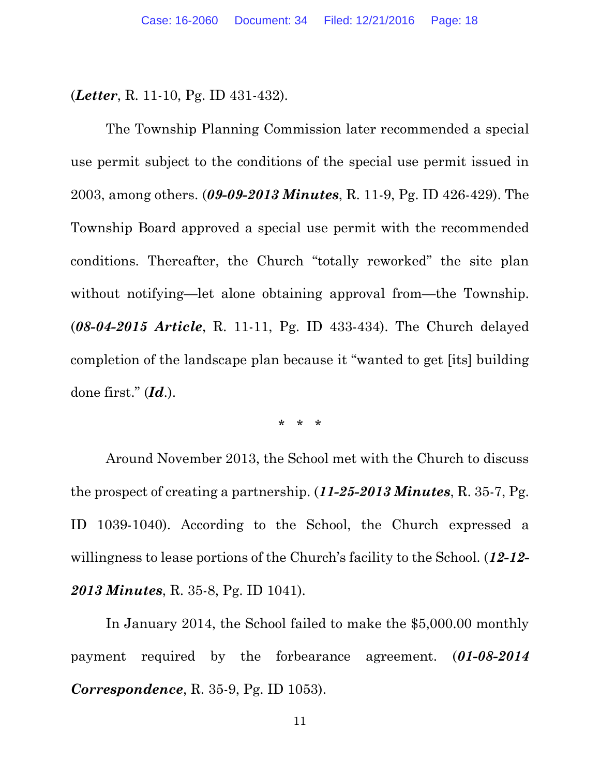(*Letter*, R. 11-10, Pg. ID 431-432).

The Township Planning Commission later recommended a special use permit subject to the conditions of the special use permit issued in 2003, among others. (*09-09-2013 Minutes*, R. 11-9, Pg. ID 426-429). The Township Board approved a special use permit with the recommended conditions. Thereafter, the Church "totally reworked" the site plan without notifying—let alone obtaining approval from—the Township. (*08-04-2015 Article*, R. 11-11, Pg. ID 433-434). The Church delayed completion of the landscape plan because it "wanted to get [its] building done first." (*Id*.).

\* \* \*

Around November 2013, the School met with the Church to discuss the prospect of creating a partnership. (*11-25-2013 Minutes*, R. 35-7, Pg. ID 1039-1040). According to the School, the Church expressed a willingness to lease portions of the Church's facility to the School. (*12-12- 2013 Minutes*, R. 35-8, Pg. ID 1041).

In January 2014, the School failed to make the \$5,000.00 monthly payment required by the forbearance agreement. (*01-08-2014 Correspondence*, R. 35-9, Pg. ID 1053).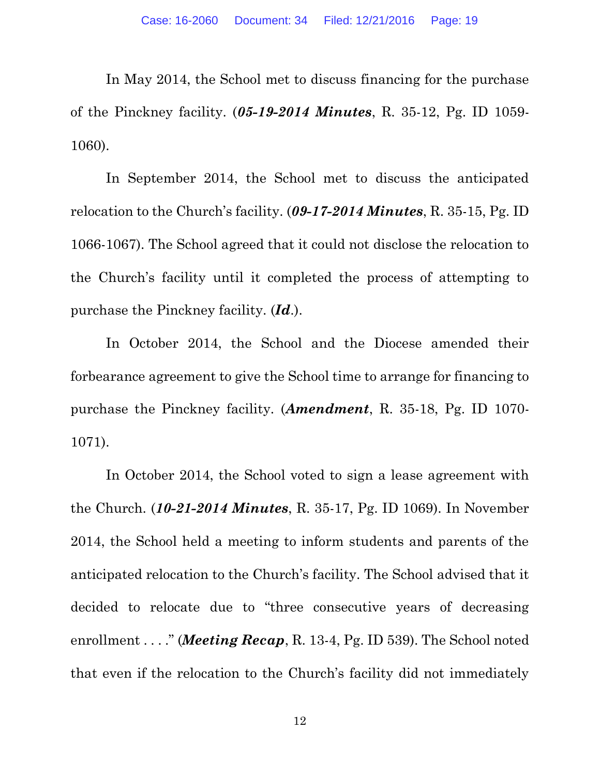In May 2014, the School met to discuss financing for the purchase of the Pinckney facility. (*05-19-2014 Minutes*, R. 35-12, Pg. ID 1059- 1060).

In September 2014, the School met to discuss the anticipated relocation to the Church's facility. (*09-17-2014 Minutes*, R. 35-15, Pg. ID 1066-1067). The School agreed that it could not disclose the relocation to the Church's facility until it completed the process of attempting to purchase the Pinckney facility. (*Id*.).

In October 2014, the School and the Diocese amended their forbearance agreement to give the School time to arrange for financing to purchase the Pinckney facility. (*Amendment*, R. 35-18, Pg. ID 1070- 1071).

In October 2014, the School voted to sign a lease agreement with the Church. (*10-21-2014 Minutes*, R. 35-17, Pg. ID 1069). In November 2014, the School held a meeting to inform students and parents of the anticipated relocation to the Church's facility. The School advised that it decided to relocate due to "three consecutive years of decreasing enrollment . . . ." (*Meeting Recap*, R. 13-4, Pg. ID 539). The School noted that even if the relocation to the Church's facility did not immediately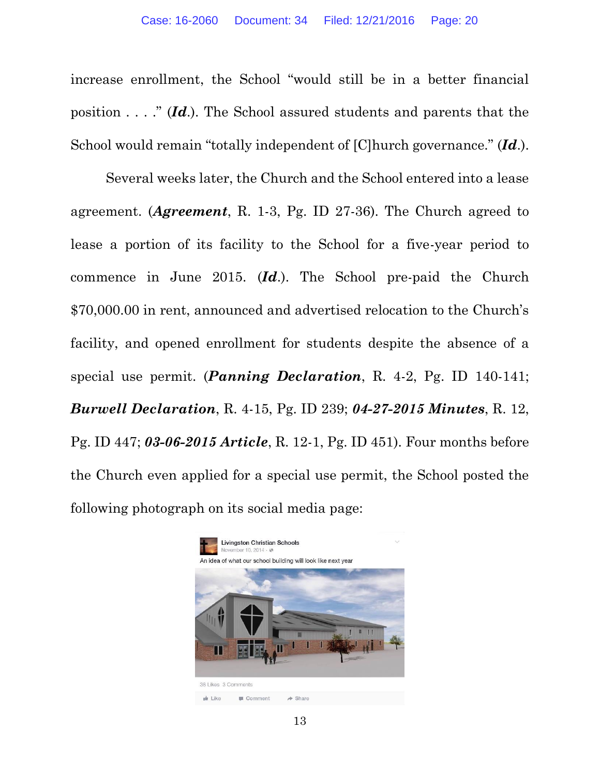increase enrollment, the School "would still be in a better financial position . . . ." (*Id*.). The School assured students and parents that the School would remain "totally independent of [C]hurch governance." (*Id*.).

Several weeks later, the Church and the School entered into a lease agreement. (*Agreement*, R. 1-3, Pg. ID 27-36). The Church agreed to lease a portion of its facility to the School for a five-year period to commence in June 2015. (*Id*.). The School pre-paid the Church \$70,000.00 in rent, announced and advertised relocation to the Church's facility, and opened enrollment for students despite the absence of a special use permit. (*Panning Declaration*, R. 4-2, Pg. ID 140-141; *Burwell Declaration*, R. 4-15, Pg. ID 239; *04-27-2015 Minutes*, R. 12, Pg. ID 447; *03-06-2015 Article*, R. 12-1, Pg. ID 451). Four months before the Church even applied for a special use permit, the School posted the following photograph on its social media page:

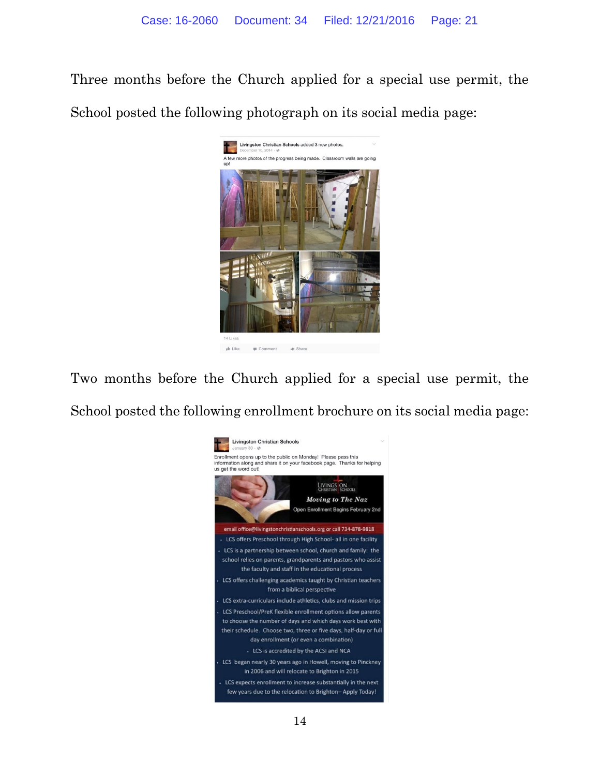Three months before the Church applied for a special use permit, the School posted the following photograph on its social media page:



Two months before the Church applied for a special use permit, the School posted the following enrollment brochure on its social media page:

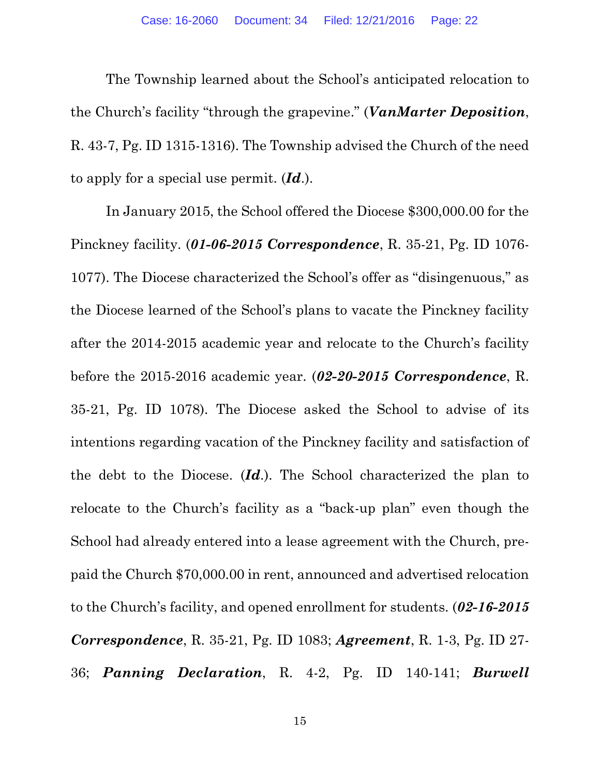The Township learned about the School's anticipated relocation to the Church's facility "through the grapevine." (*VanMarter Deposition*, R. 43-7, Pg. ID 1315-1316). The Township advised the Church of the need to apply for a special use permit. (*Id*.).

In January 2015, the School offered the Diocese \$300,000.00 for the Pinckney facility. (*01-06-2015 Correspondence*, R. 35-21, Pg. ID 1076- 1077). The Diocese characterized the School's offer as "disingenuous," as the Diocese learned of the School's plans to vacate the Pinckney facility after the 2014-2015 academic year and relocate to the Church's facility before the 2015-2016 academic year. (*02-20-2015 Correspondence*, R. 35-21, Pg. ID 1078). The Diocese asked the School to advise of its intentions regarding vacation of the Pinckney facility and satisfaction of the debt to the Diocese. (*Id*.). The School characterized the plan to relocate to the Church's facility as a "back-up plan" even though the School had already entered into a lease agreement with the Church, prepaid the Church \$70,000.00 in rent, announced and advertised relocation to the Church's facility, and opened enrollment for students. (*02-16-2015 Correspondence*, R. 35-21, Pg. ID 1083; *Agreement*, R. 1-3, Pg. ID 27- 36; *Panning Declaration*, R. 4-2, Pg. ID 140-141; *Burwell*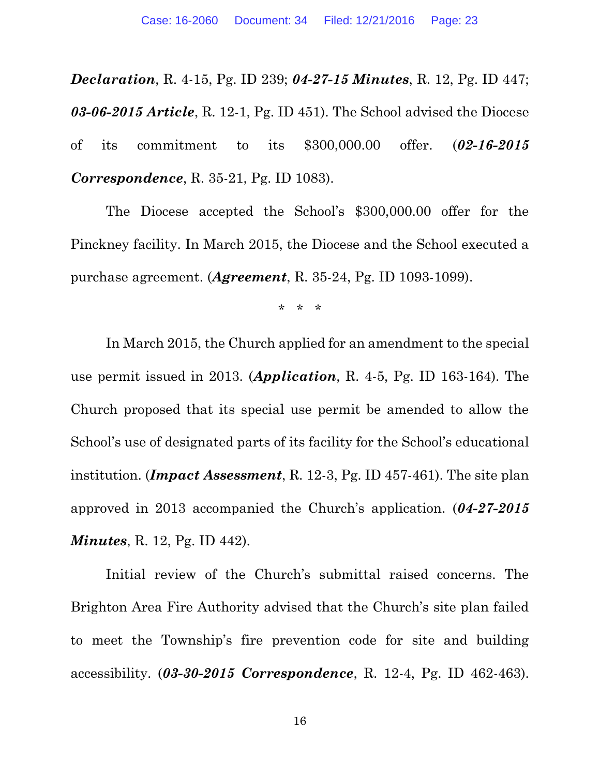*Declaration*, R. 4-15, Pg. ID 239; *04-27-15 Minutes*, R. 12, Pg. ID 447; *03-06-2015 Article*, R. 12-1, Pg. ID 451). The School advised the Diocese of its commitment to its \$300,000.00 offer. (*02-16-2015 Correspondence*, R. 35-21, Pg. ID 1083).

The Diocese accepted the School's \$300,000.00 offer for the Pinckney facility. In March 2015, the Diocese and the School executed a purchase agreement. (*Agreement*, R. 35-24, Pg. ID 1093-1099).

\* \* \*

In March 2015, the Church applied for an amendment to the special use permit issued in 2013. (*Application*, R. 4-5, Pg. ID 163-164). The Church proposed that its special use permit be amended to allow the School's use of designated parts of its facility for the School's educational institution. (*Impact Assessment*, R. 12-3, Pg. ID 457-461). The site plan approved in 2013 accompanied the Church's application. (*04-27-2015 Minutes*, R. 12, Pg. ID 442).

Initial review of the Church's submittal raised concerns. The Brighton Area Fire Authority advised that the Church's site plan failed to meet the Township's fire prevention code for site and building accessibility. (*03-30-2015 Correspondence*, R. 12-4, Pg. ID 462-463).

16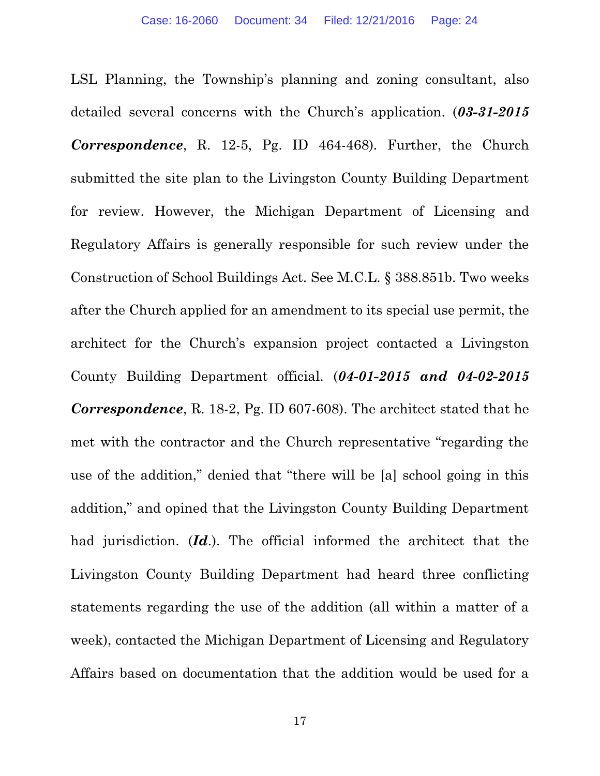LSL Planning, the Township's planning and zoning consultant, also detailed several concerns with the Church's application. (*03-31-2015 Correspondence*, R. 12-5, Pg. ID 464-468). Further, the Church submitted the site plan to the Livingston County Building Department for review. However, the Michigan Department of Licensing and Regulatory Affairs is generally responsible for such review under the Construction of School Buildings Act. See M.C.L. § 388.851b. Two weeks after the Church applied for an amendment to its special use permit, the architect for the Church's expansion project contacted a Livingston County Building Department official. (*04-01-2015 and 04-02-2015 Correspondence*, R. 18-2, Pg. ID 607-608). The architect stated that he met with the contractor and the Church representative "regarding the use of the addition," denied that "there will be [a] school going in this addition," and opined that the Livingston County Building Department had jurisdiction. (*Id*.). The official informed the architect that the Livingston County Building Department had heard three conflicting statements regarding the use of the addition (all within a matter of a week), contacted the Michigan Department of Licensing and Regulatory Affairs based on documentation that the addition would be used for a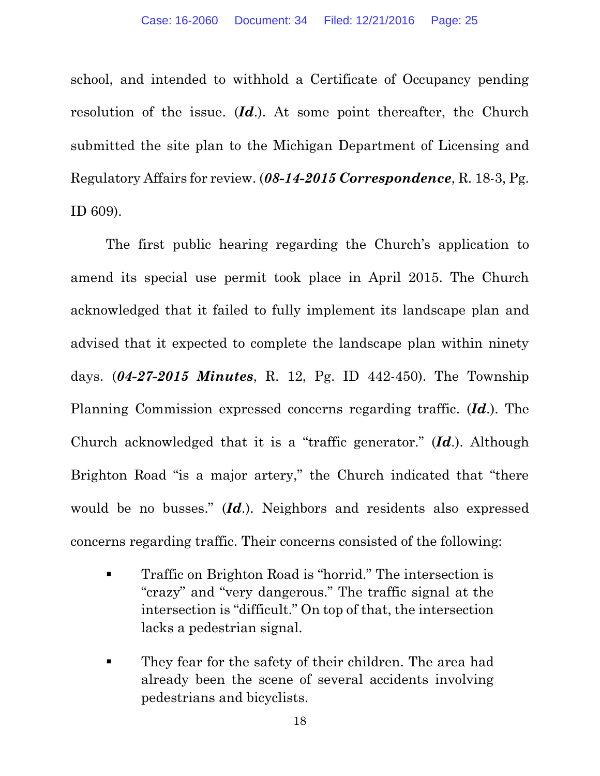school, and intended to withhold a Certificate of Occupancy pending resolution of the issue. (*Id*.). At some point thereafter, the Church submitted the site plan to the Michigan Department of Licensing and Regulatory Affairs for review. (*08-14-2015 Correspondence*, R. 18-3, Pg. ID 609).

The first public hearing regarding the Church's application to amend its special use permit took place in April 2015. The Church acknowledged that it failed to fully implement its landscape plan and advised that it expected to complete the landscape plan within ninety days. (*04-27-2015 Minutes*, R. 12, Pg. ID 442-450). The Township Planning Commission expressed concerns regarding traffic. (*Id*.). The Church acknowledged that it is a "traffic generator." (*Id*.). Although Brighton Road "is a major artery," the Church indicated that "there would be no busses." (*Id*.). Neighbors and residents also expressed concerns regarding traffic. Their concerns consisted of the following:

- **Traffic on Brighton Road is "horrid."** The intersection is "crazy" and "very dangerous." The traffic signal at the intersection is "difficult." On top of that, the intersection lacks a pedestrian signal.
- **They fear for the safety of their children. The area had** already been the scene of several accidents involving pedestrians and bicyclists.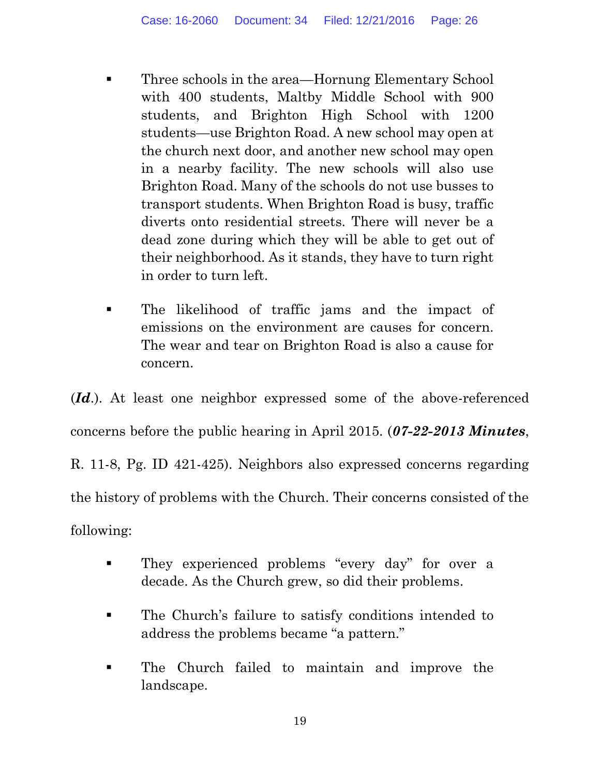- **Three schools in the area—Hornung Elementary School** with 400 students, Maltby Middle School with 900 students, and Brighton High School with 1200 students—use Brighton Road. A new school may open at the church next door, and another new school may open in a nearby facility. The new schools will also use Brighton Road. Many of the schools do not use busses to transport students. When Brighton Road is busy, traffic diverts onto residential streets. There will never be a dead zone during which they will be able to get out of their neighborhood. As it stands, they have to turn right in order to turn left.
- The likelihood of traffic jams and the impact of emissions on the environment are causes for concern. The wear and tear on Brighton Road is also a cause for concern.

(*Id*.). At least one neighbor expressed some of the above-referenced concerns before the public hearing in April 2015. (*07-22-2013 Minutes*, R. 11-8, Pg. ID 421-425). Neighbors also expressed concerns regarding the history of problems with the Church. Their concerns consisted of the following:

- **They experienced problems "every day" for over a** decade. As the Church grew, so did their problems.
- The Church's failure to satisfy conditions intended to address the problems became "a pattern."
- The Church failed to maintain and improve the landscape.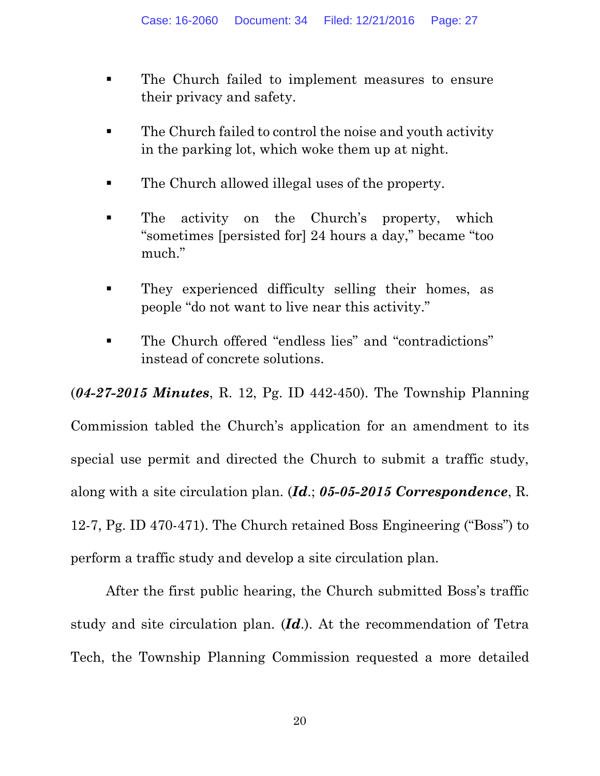- **The Church failed to implement measures to ensure** their privacy and safety.
- The Church failed to control the noise and youth activity in the parking lot, which woke them up at night.
- The Church allowed illegal uses of the property.
- **The activity on the Church's property, which** "sometimes [persisted for] 24 hours a day," became "too much."
- **They experienced difficulty selling their homes, as** people "do not want to live near this activity."
- The Church offered "endless lies" and "contradictions" instead of concrete solutions.

(*04-27-2015 Minutes*, R. 12, Pg. ID 442-450). The Township Planning

Commission tabled the Church's application for an amendment to its special use permit and directed the Church to submit a traffic study, along with a site circulation plan. (*Id*.; *05-05-2015 Correspondence*, R. 12-7, Pg. ID 470-471). The Church retained Boss Engineering ("Boss") to perform a traffic study and develop a site circulation plan.

After the first public hearing, the Church submitted Boss's traffic study and site circulation plan. (*Id*.). At the recommendation of Tetra Tech, the Township Planning Commission requested a more detailed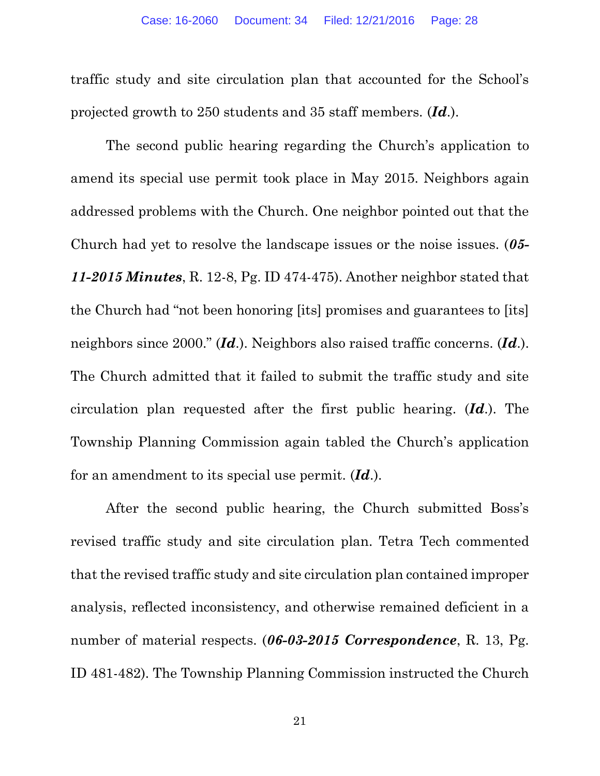traffic study and site circulation plan that accounted for the School's projected growth to 250 students and 35 staff members. (*Id*.).

The second public hearing regarding the Church's application to amend its special use permit took place in May 2015. Neighbors again addressed problems with the Church. One neighbor pointed out that the Church had yet to resolve the landscape issues or the noise issues. (*05- 11-2015 Minutes*, R. 12-8, Pg. ID 474-475). Another neighbor stated that the Church had "not been honoring [its] promises and guarantees to [its] neighbors since 2000." (*Id*.). Neighbors also raised traffic concerns. (*Id*.). The Church admitted that it failed to submit the traffic study and site circulation plan requested after the first public hearing. (*Id*.). The Township Planning Commission again tabled the Church's application for an amendment to its special use permit. (*Id*.).

After the second public hearing, the Church submitted Boss's revised traffic study and site circulation plan. Tetra Tech commented that the revised traffic study and site circulation plan contained improper analysis, reflected inconsistency, and otherwise remained deficient in a number of material respects. (*06-03-2015 Correspondence*, R. 13, Pg. ID 481-482). The Township Planning Commission instructed the Church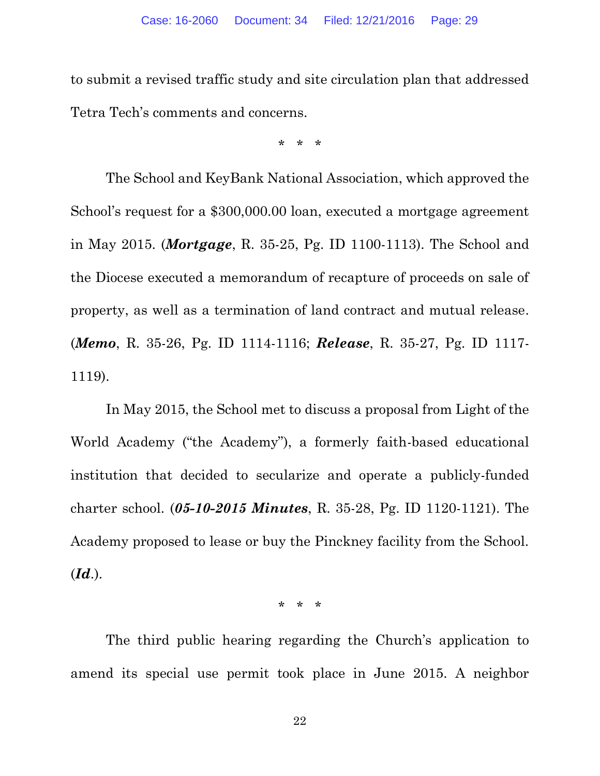to submit a revised traffic study and site circulation plan that addressed Tetra Tech's comments and concerns.

\* \* \*

The School and KeyBank National Association, which approved the School's request for a \$300,000.00 loan, executed a mortgage agreement in May 2015. (*Mortgage*, R. 35-25, Pg. ID 1100-1113). The School and the Diocese executed a memorandum of recapture of proceeds on sale of property, as well as a termination of land contract and mutual release. (*Memo*, R. 35-26, Pg. ID 1114-1116; *Release*, R. 35-27, Pg. ID 1117- 1119).

In May 2015, the School met to discuss a proposal from Light of the World Academy ("the Academy"), a formerly faith-based educational institution that decided to secularize and operate a publicly-funded charter school. (*05-10-2015 Minutes*, R. 35-28, Pg. ID 1120-1121). The Academy proposed to lease or buy the Pinckney facility from the School. (*Id*.).

\* \* \*

The third public hearing regarding the Church's application to amend its special use permit took place in June 2015. A neighbor

22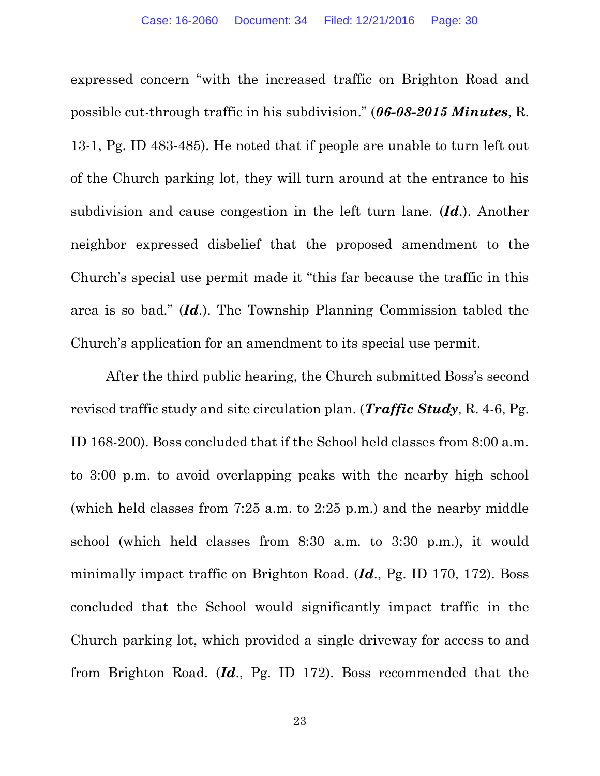expressed concern "with the increased traffic on Brighton Road and possible cut-through traffic in his subdivision." (*06-08-2015 Minutes*, R. 13-1, Pg. ID 483-485). He noted that if people are unable to turn left out of the Church parking lot, they will turn around at the entrance to his subdivision and cause congestion in the left turn lane. (*Id*.). Another neighbor expressed disbelief that the proposed amendment to the Church's special use permit made it "this far because the traffic in this area is so bad." (*Id*.). The Township Planning Commission tabled the Church's application for an amendment to its special use permit.

After the third public hearing, the Church submitted Boss's second revised traffic study and site circulation plan. (*Traffic Study*, R. 4-6, Pg. ID 168-200). Boss concluded that if the School held classes from 8:00 a.m. to 3:00 p.m. to avoid overlapping peaks with the nearby high school (which held classes from 7:25 a.m. to 2:25 p.m.) and the nearby middle school (which held classes from 8:30 a.m. to 3:30 p.m.), it would minimally impact traffic on Brighton Road. (*Id*., Pg. ID 170, 172). Boss concluded that the School would significantly impact traffic in the Church parking lot, which provided a single driveway for access to and from Brighton Road. (*Id*., Pg. ID 172). Boss recommended that the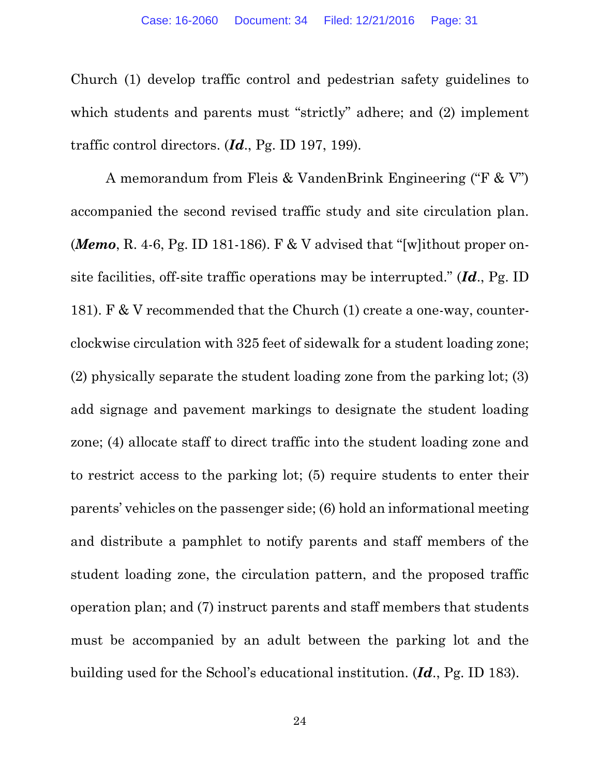Church (1) develop traffic control and pedestrian safety guidelines to which students and parents must "strictly" adhere; and  $(2)$  implement traffic control directors. (*Id*., Pg. ID 197, 199).

A memorandum from Fleis & VandenBrink Engineering ("F & V") accompanied the second revised traffic study and site circulation plan. (*Memo*, R. 4-6, Pg. ID 181-186). F & V advised that "[w]ithout proper onsite facilities, off-site traffic operations may be interrupted." (*Id*., Pg. ID 181). F & V recommended that the Church (1) create a one-way, counterclockwise circulation with 325 feet of sidewalk for a student loading zone; (2) physically separate the student loading zone from the parking lot; (3) add signage and pavement markings to designate the student loading zone; (4) allocate staff to direct traffic into the student loading zone and to restrict access to the parking lot; (5) require students to enter their parents' vehicles on the passenger side; (6) hold an informational meeting and distribute a pamphlet to notify parents and staff members of the student loading zone, the circulation pattern, and the proposed traffic operation plan; and (7) instruct parents and staff members that students must be accompanied by an adult between the parking lot and the building used for the School's educational institution. (*Id*., Pg. ID 183).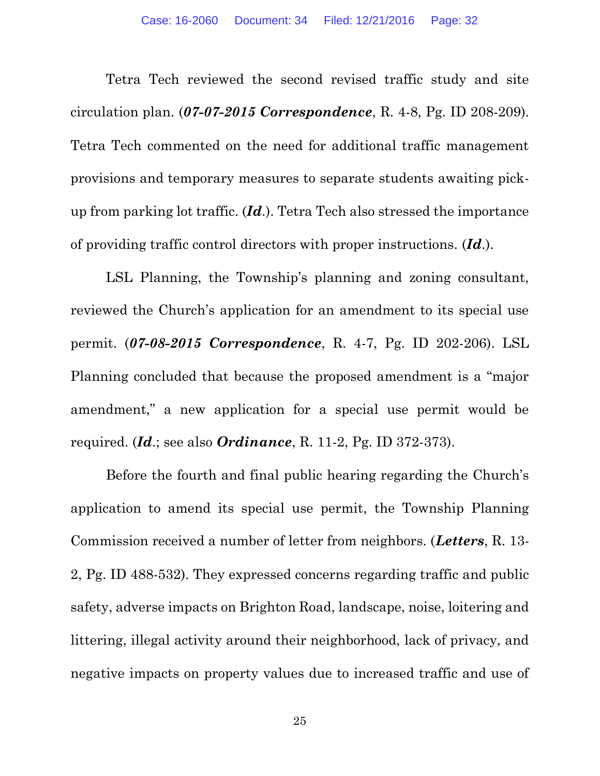Tetra Tech reviewed the second revised traffic study and site circulation plan. (*07-07-2015 Correspondence*, R. 4-8, Pg. ID 208-209). Tetra Tech commented on the need for additional traffic management provisions and temporary measures to separate students awaiting pickup from parking lot traffic. (*Id*.). Tetra Tech also stressed the importance of providing traffic control directors with proper instructions. (*Id*.).

LSL Planning, the Township's planning and zoning consultant, reviewed the Church's application for an amendment to its special use permit. (*07-08-2015 Correspondence*, R. 4-7, Pg. ID 202-206). LSL Planning concluded that because the proposed amendment is a "major amendment," a new application for a special use permit would be required. (*Id*.; see also *Ordinance*, R. 11-2, Pg. ID 372-373).

Before the fourth and final public hearing regarding the Church's application to amend its special use permit, the Township Planning Commission received a number of letter from neighbors. (*Letters*, R. 13- 2, Pg. ID 488-532). They expressed concerns regarding traffic and public safety, adverse impacts on Brighton Road, landscape, noise, loitering and littering, illegal activity around their neighborhood, lack of privacy, and negative impacts on property values due to increased traffic and use of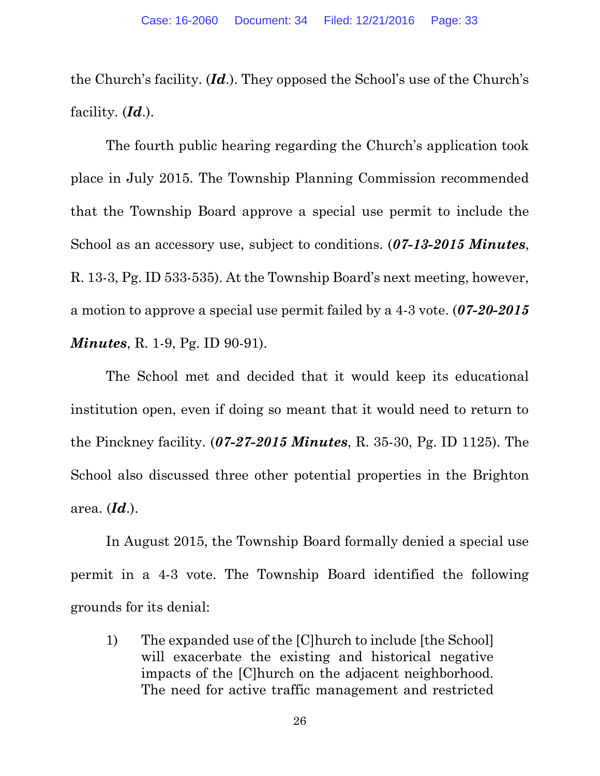the Church's facility. (*Id*.). They opposed the School's use of the Church's facility. (*Id*.).

The fourth public hearing regarding the Church's application took place in July 2015. The Township Planning Commission recommended that the Township Board approve a special use permit to include the School as an accessory use, subject to conditions. (*07-13-2015 Minutes*, R. 13-3, Pg. ID 533-535). At the Township Board's next meeting, however, a motion to approve a special use permit failed by a 4-3 vote. (*07-20-2015 Minutes*, R. 1-9, Pg. ID 90-91).

The School met and decided that it would keep its educational institution open, even if doing so meant that it would need to return to the Pinckney facility. (*07-27-2015 Minutes*, R. 35-30, Pg. ID 1125). The School also discussed three other potential properties in the Brighton area. (*Id*.).

In August 2015, the Township Board formally denied a special use permit in a 4-3 vote. The Township Board identified the following grounds for its denial:

1) The expanded use of the [C]hurch to include [the School] will exacerbate the existing and historical negative impacts of the [C]hurch on the adjacent neighborhood. The need for active traffic management and restricted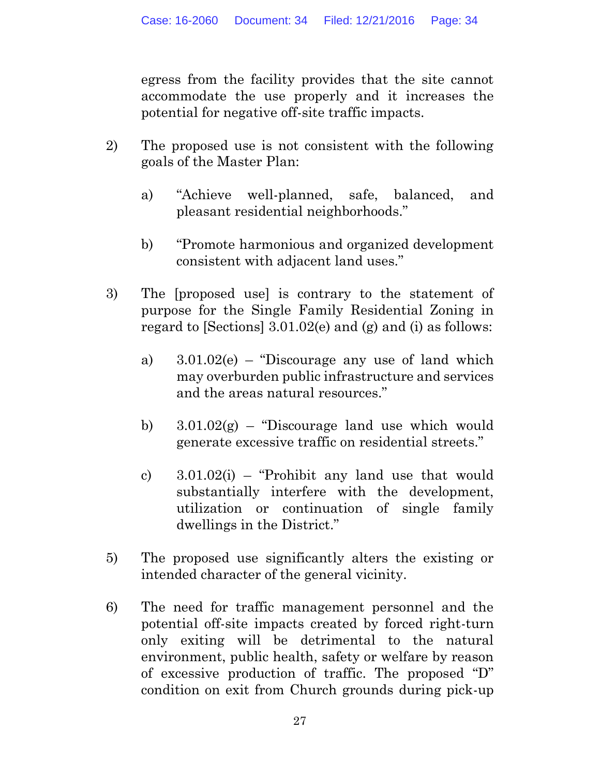egress from the facility provides that the site cannot accommodate the use properly and it increases the potential for negative off-site traffic impacts.

- 2) The proposed use is not consistent with the following goals of the Master Plan:
	- a) "Achieve well-planned, safe, balanced, and pleasant residential neighborhoods."
	- b) "Promote harmonious and organized development consistent with adjacent land uses."
- 3) The [proposed use] is contrary to the statement of purpose for the Single Family Residential Zoning in regard to [Sections] 3.01.02(e) and (g) and (i) as follows:
	- a) 3.01.02(e) "Discourage any use of land which may overburden public infrastructure and services and the areas natural resources."
	- b)  $3.01.02(g)$  "Discourage land use which would generate excessive traffic on residential streets."
	- c)  $3.01.02(i)$  "Prohibit any land use that would substantially interfere with the development, utilization or continuation of single family dwellings in the District."
- 5) The proposed use significantly alters the existing or intended character of the general vicinity.
- 6) The need for traffic management personnel and the potential off-site impacts created by forced right-turn only exiting will be detrimental to the natural environment, public health, safety or welfare by reason of excessive production of traffic. The proposed "D" condition on exit from Church grounds during pick-up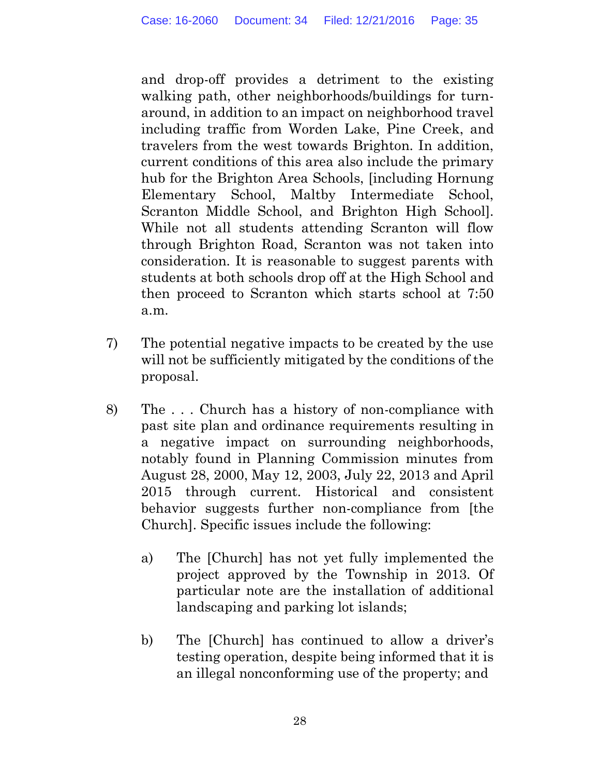and drop-off provides a detriment to the existing walking path, other neighborhoods/buildings for turnaround, in addition to an impact on neighborhood travel including traffic from Worden Lake, Pine Creek, and travelers from the west towards Brighton. In addition, current conditions of this area also include the primary hub for the Brighton Area Schools, [including Hornung Elementary School, Maltby Intermediate School, Scranton Middle School, and Brighton High School]. While not all students attending Scranton will flow through Brighton Road, Scranton was not taken into consideration. It is reasonable to suggest parents with students at both schools drop off at the High School and then proceed to Scranton which starts school at 7:50 a.m.

- 7) The potential negative impacts to be created by the use will not be sufficiently mitigated by the conditions of the proposal.
- 8) The . . . Church has a history of non-compliance with past site plan and ordinance requirements resulting in a negative impact on surrounding neighborhoods, notably found in Planning Commission minutes from August 28, 2000, May 12, 2003, July 22, 2013 and April 2015 through current. Historical and consistent behavior suggests further non-compliance from [the Church]. Specific issues include the following:
	- a) The [Church] has not yet fully implemented the project approved by the Township in 2013. Of particular note are the installation of additional landscaping and parking lot islands;
	- b) The [Church] has continued to allow a driver's testing operation, despite being informed that it is an illegal nonconforming use of the property; and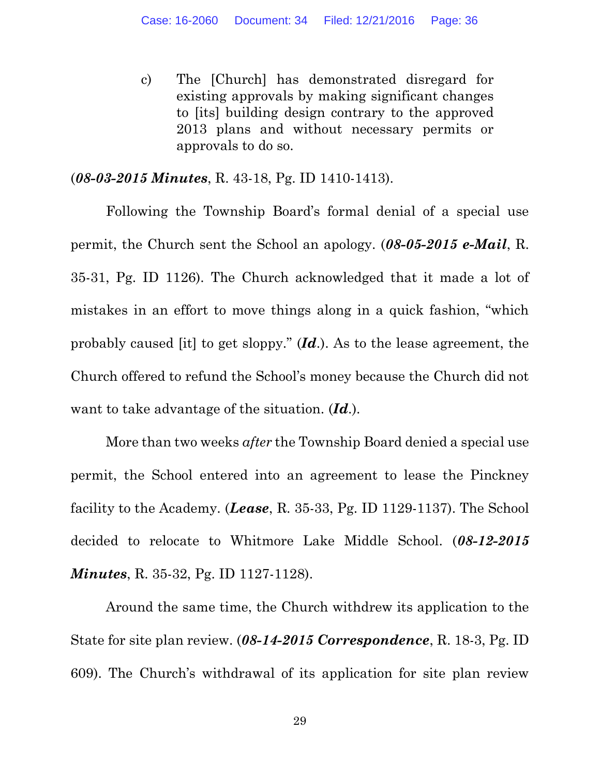c) The [Church] has demonstrated disregard for existing approvals by making significant changes to [its] building design contrary to the approved 2013 plans and without necessary permits or approvals to do so.

#### (*08-03-2015 Minutes*, R. 43-18, Pg. ID 1410-1413).

Following the Township Board's formal denial of a special use permit, the Church sent the School an apology. (*08-05-2015 e-Mail*, R. 35-31, Pg. ID 1126). The Church acknowledged that it made a lot of mistakes in an effort to move things along in a quick fashion, "which probably caused [it] to get sloppy." (*Id*.). As to the lease agreement, the Church offered to refund the School's money because the Church did not want to take advantage of the situation. (*Id*.).

More than two weeks *after* the Township Board denied a special use permit, the School entered into an agreement to lease the Pinckney facility to the Academy. (*Lease*, R. 35-33, Pg. ID 1129-1137). The School decided to relocate to Whitmore Lake Middle School. (*08-12-2015 Minutes*, R. 35-32, Pg. ID 1127-1128).

Around the same time, the Church withdrew its application to the State for site plan review. (*08-14-2015 Correspondence*, R. 18-3, Pg. ID 609). The Church's withdrawal of its application for site plan review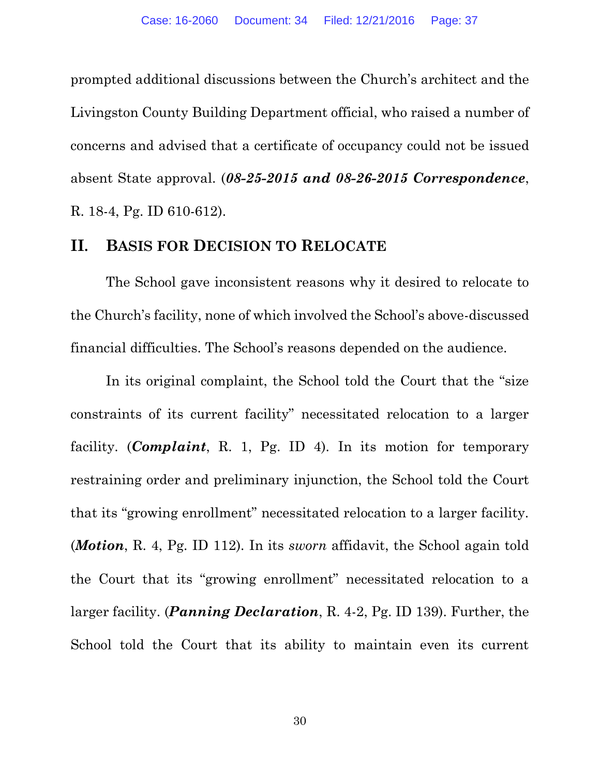prompted additional discussions between the Church's architect and the Livingston County Building Department official, who raised a number of concerns and advised that a certificate of occupancy could not be issued absent State approval. (*08-25-2015 and 08-26-2015 Correspondence*, R. 18-4, Pg. ID 610-612).

### **II. BASIS FOR DECISION TO RELOCATE**

The School gave inconsistent reasons why it desired to relocate to the Church's facility, none of which involved the School's above-discussed financial difficulties. The School's reasons depended on the audience.

In its original complaint, the School told the Court that the "size constraints of its current facility" necessitated relocation to a larger facility. (*Complaint*, R. 1, Pg. ID 4). In its motion for temporary restraining order and preliminary injunction, the School told the Court that its "growing enrollment" necessitated relocation to a larger facility. (*Motion*, R. 4, Pg. ID 112). In its *sworn* affidavit, the School again told the Court that its "growing enrollment" necessitated relocation to a larger facility. (*Panning Declaration*, R. 4-2, Pg. ID 139). Further, the School told the Court that its ability to maintain even its current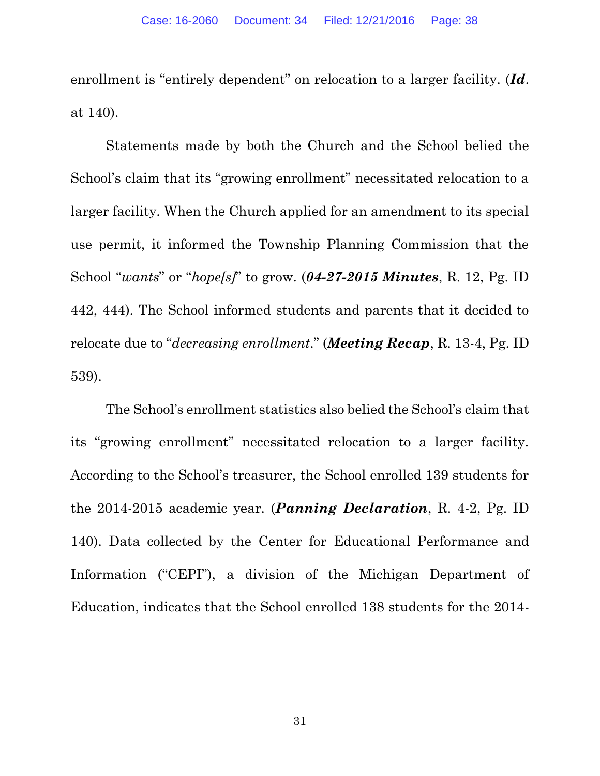enrollment is "entirely dependent" on relocation to a larger facility. (*Id*. at 140).

Statements made by both the Church and the School belied the School's claim that its "growing enrollment" necessitated relocation to a larger facility. When the Church applied for an amendment to its special use permit, it informed the Township Planning Commission that the School "*wants*" or "*hope[s]*" to grow. (*04-27-2015 Minutes*, R. 12, Pg. ID 442, 444). The School informed students and parents that it decided to relocate due to "*decreasing enrollment*." (*Meeting Recap*, R. 13-4, Pg. ID 539).

The School's enrollment statistics also belied the School's claim that its "growing enrollment" necessitated relocation to a larger facility. According to the School's treasurer, the School enrolled 139 students for the 2014-2015 academic year. (*Panning Declaration*, R. 4-2, Pg. ID 140). Data collected by the Center for Educational Performance and Information ("CEPI"), a division of the Michigan Department of Education, indicates that the School enrolled 138 students for the 2014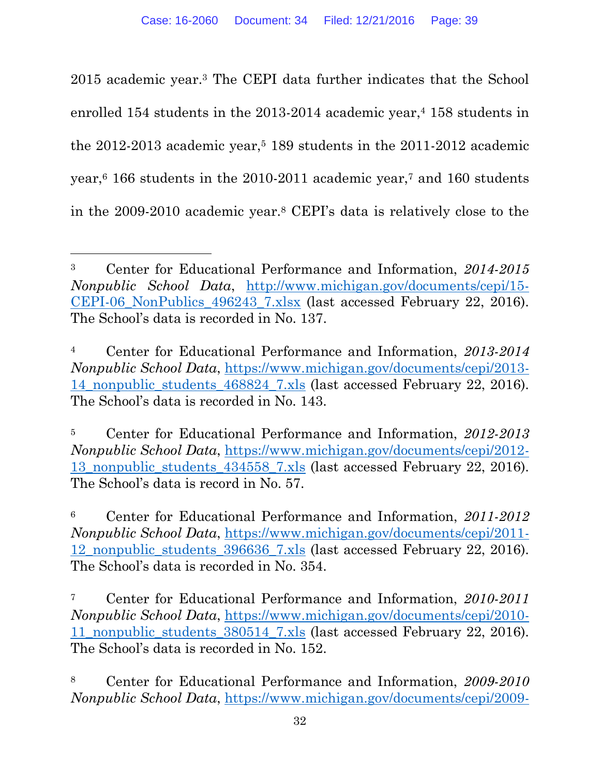2015 academic year.<sup>3</sup> The CEPI data further indicates that the School enrolled 154 students in the  $2013-2014$  academic year,<sup>4</sup> 158 students in the  $2012-2013$  academic year,<sup>5</sup> 189 students in the  $2011-2012$  academic year,<sup>6</sup> 166 students in the 2010-2011 academic year,<sup>7</sup> and 160 students in the 2009-2010 academic year.<sup>8</sup> CEPI's data is relatively close to the

<sup>3</sup> Center for Educational Performance and Information, *2014-2015 Nonpublic School Data*, [http://www.michigan.gov/documents/cepi/15-](http://www.michigan.gov/documents/cepi/15-CEPI-06_NonPublics_496243_7.xlsx) CEPI-06 NonPublics 496243 7.xlsx (last accessed February 22, 2016). The School's data is recorded in No. 137.

<sup>4</sup> Center for Educational Performance and Information, *2013-2014 Nonpublic School Data*, [https://www.michigan.gov/documents/cepi/2013-](https://www.michigan.gov/documents/cepi/2013-14_nonpublic_students_468824_7.xls) 14 nonpublic students 468824 7.xls (last accessed February 22, 2016). The School's data is recorded in No. 143.

<sup>5</sup> Center for Educational Performance and Information, *2012-2013 Nonpublic School Data*, [https://www.michigan.gov/documents/cepi/2012-](https://www.michigan.gov/documents/cepi/2012-13_nonpublic_students_434558_7.xls) 13 nonpublic students 434558 7.xls (last accessed February 22, 2016). The School's data is record in No. 57.

<sup>6</sup> Center for Educational Performance and Information, *2011-2012 Nonpublic School Data*, [https://www.michigan.gov/documents/cepi/2011-](https://www.michigan.gov/documents/cepi/2011-12_nonpublic_students_396636_7.xls) [12\\_nonpublic\\_students\\_396636\\_7.xls](https://www.michigan.gov/documents/cepi/2011-12_nonpublic_students_396636_7.xls) (last accessed February 22, 2016). The School's data is recorded in No. 354.

<sup>7</sup> Center for Educational Performance and Information, *2010-2011 Nonpublic School Data*, [https://www.michigan.gov/documents/cepi/2010-](https://www.michigan.gov/documents/cepi/2010-11_nonpublic_students_380514_7.xls) 11 nonpublic students 380514 7.xls (last accessed February 22, 2016). The School's data is recorded in No. 152.

<sup>8</sup> Center for Educational Performance and Information, *2009-2010 Nonpublic School Data*, [https://www.michigan.gov/documents/cepi/2009-](https://www.michigan.gov/documents/cepi/2009-10_nonpublic_students_334602_7.xls)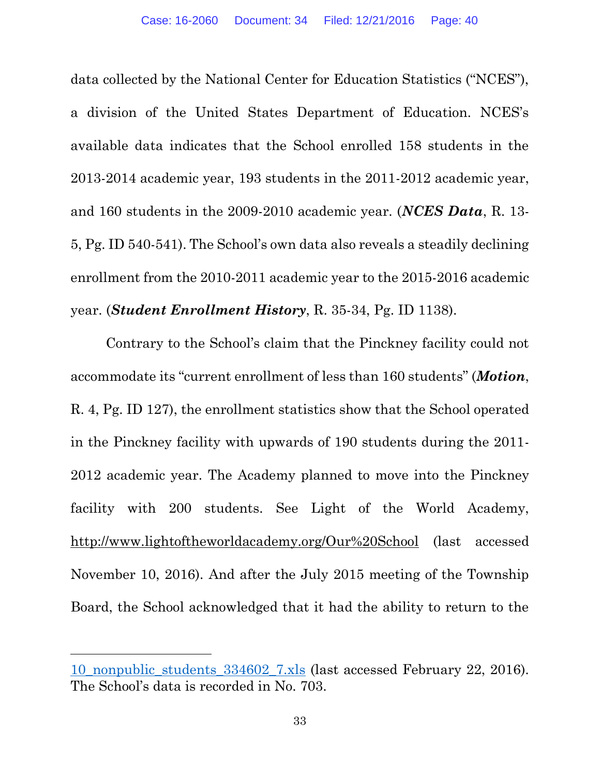data collected by the National Center for Education Statistics ("NCES"), a division of the United States Department of Education. NCES's available data indicates that the School enrolled 158 students in the 2013-2014 academic year, 193 students in the 2011-2012 academic year, and 160 students in the 2009-2010 academic year. (*NCES Data*, R. 13- 5, Pg. ID 540-541). The School's own data also reveals a steadily declining enrollment from the 2010-2011 academic year to the 2015-2016 academic year. (*Student Enrollment History*, R. 35-34, Pg. ID 1138).

Contrary to the School's claim that the Pinckney facility could not accommodate its "current enrollment of less than 160 students" (*Motion*, R. 4, Pg. ID 127), the enrollment statistics show that the School operated in the Pinckney facility with upwards of 190 students during the 2011- 2012 academic year. The Academy planned to move into the Pinckney facility with 200 students. See Light of the World Academy, <http://www.lightoftheworldacademy.org/Our%20School> (last accessed November 10, 2016). And after the July 2015 meeting of the Township Board, the School acknowledged that it had the ability to return to the

l

[<sup>10</sup>\\_nonpublic\\_students\\_334602\\_7.xls](https://www.michigan.gov/documents/cepi/2009-10_nonpublic_students_334602_7.xls) (last accessed February 22, 2016). The School's data is recorded in No. 703.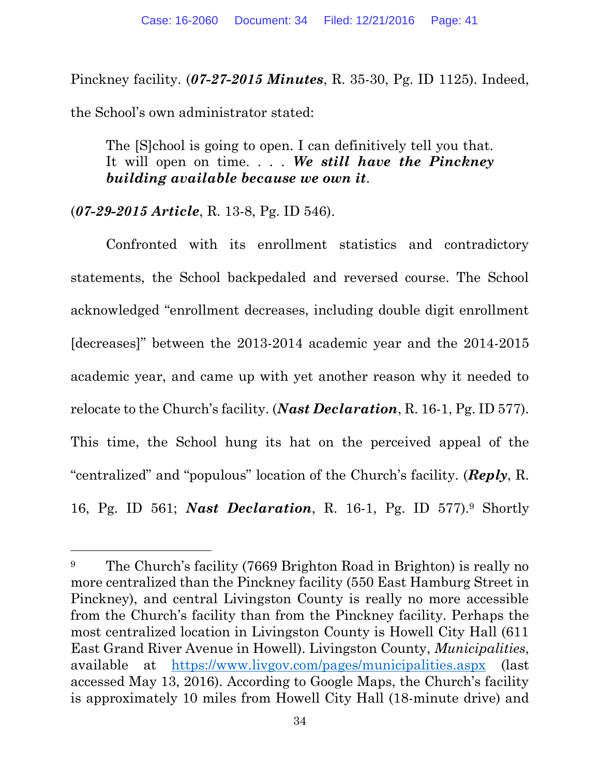Pinckney facility. (*07-27-2015 Minutes*, R. 35-30, Pg. ID 1125). Indeed,

the School's own administrator stated:

The [S]chool is going to open. I can definitively tell you that. It will open on time. . . . *We still have the Pinckney building available because we own it*.

### (*07-29-2015 Article*, R. 13-8, Pg. ID 546).

Confronted with its enrollment statistics and contradictory statements, the School backpedaled and reversed course. The School acknowledged "enrollment decreases, including double digit enrollment [decreases]" between the 2013-2014 academic year and the 2014-2015 academic year, and came up with yet another reason why it needed to relocate to the Church's facility. (*Nast Declaration*, R. 16-1, Pg. ID 577). This time, the School hung its hat on the perceived appeal of the "centralized" and "populous" location of the Church's facility. (*Reply*, R. 16, Pg. ID 561; *Nast Declaration*, R. 16-1, Pg. ID 577).<sup>9</sup> Shortly

<sup>9</sup> The Church's facility (7669 Brighton Road in Brighton) is really no more centralized than the Pinckney facility (550 East Hamburg Street in Pinckney), and central Livingston County is really no more accessible from the Church's facility than from the Pinckney facility. Perhaps the most centralized location in Livingston County is Howell City Hall (611 East Grand River Avenue in Howell). Livingston County, *Municipalities*, available at <https://www.livgov.com/pages/municipalities.aspx> (last accessed May 13, 2016). According to Google Maps, the Church's facility is approximately 10 miles from Howell City Hall (18-minute drive) and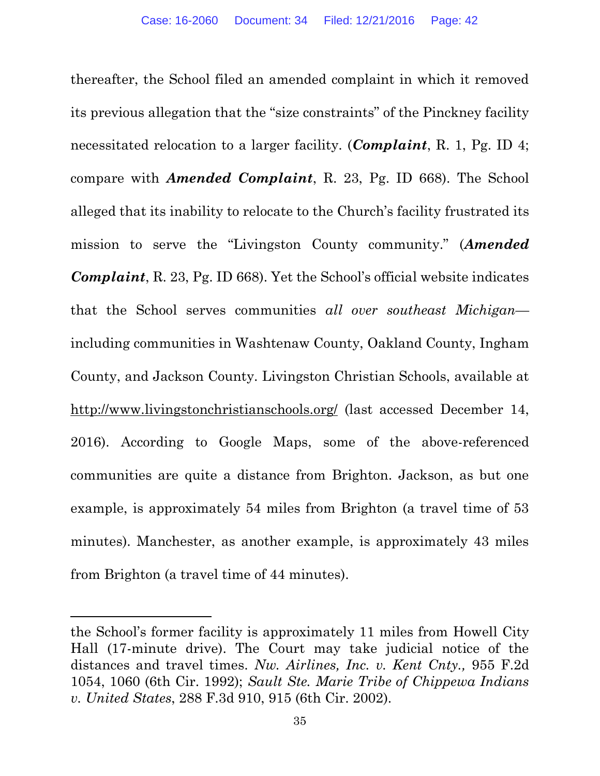thereafter, the School filed an amended complaint in which it removed its previous allegation that the "size constraints" of the Pinckney facility necessitated relocation to a larger facility. (*Complaint*, R. 1, Pg. ID 4; compare with *Amended Complaint*, R. 23, Pg. ID 668). The School alleged that its inability to relocate to the Church's facility frustrated its mission to serve the "Livingston County community." (*Amended Complaint*, R. 23, Pg. ID 668). Yet the School's official website indicates that the School serves communities *all over southeast Michigan* including communities in Washtenaw County, Oakland County, Ingham County, and Jackson County. Livingston Christian Schools, available at <http://www.livingstonchristianschools.org/> (last accessed December 14, 2016). According to Google Maps, some of the above-referenced communities are quite a distance from Brighton. Jackson, as but one example, is approximately 54 miles from Brighton (a travel time of 53 minutes). Manchester, as another example, is approximately 43 miles from Brighton (a travel time of 44 minutes).

 $\overline{a}$ 

the School's former facility is approximately 11 miles from Howell City Hall (17-minute drive). The Court may take judicial notice of the distances and travel times. *Nw. Airlines, Inc. v. Kent Cnty.,* 955 F.2d 1054, 1060 (6th Cir. 1992); *Sault Ste. Marie Tribe of Chippewa Indians v. United States*, 288 F.3d 910, 915 (6th Cir. 2002).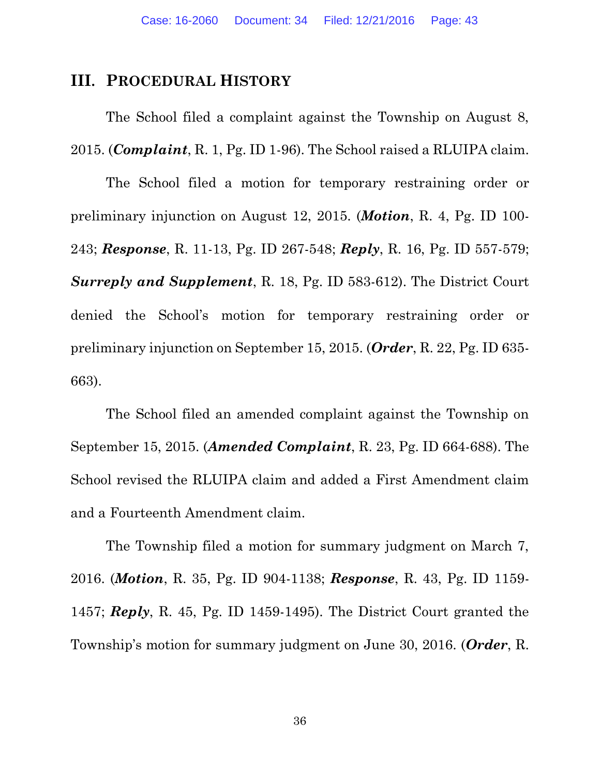#### **III. PROCEDURAL HISTORY**

The School filed a complaint against the Township on August 8, 2015. (*Complaint*, R. 1, Pg. ID 1-96). The School raised a RLUIPA claim.

The School filed a motion for temporary restraining order or preliminary injunction on August 12, 2015. (*Motion*, R. 4, Pg. ID 100- 243; *Response*, R. 11-13, Pg. ID 267-548; *Reply*, R. 16, Pg. ID 557-579; *Surreply and Supplement*, R. 18, Pg. ID 583-612). The District Court denied the School's motion for temporary restraining order or preliminary injunction on September 15, 2015. (*Order*, R. 22, Pg. ID 635- 663).

The School filed an amended complaint against the Township on September 15, 2015. (*Amended Complaint*, R. 23, Pg. ID 664-688). The School revised the RLUIPA claim and added a First Amendment claim and a Fourteenth Amendment claim.

The Township filed a motion for summary judgment on March 7, 2016. (*Motion*, R. 35, Pg. ID 904-1138; *Response*, R. 43, Pg. ID 1159- 1457; *Reply*, R. 45, Pg. ID 1459-1495). The District Court granted the Township's motion for summary judgment on June 30, 2016. (*Order*, R.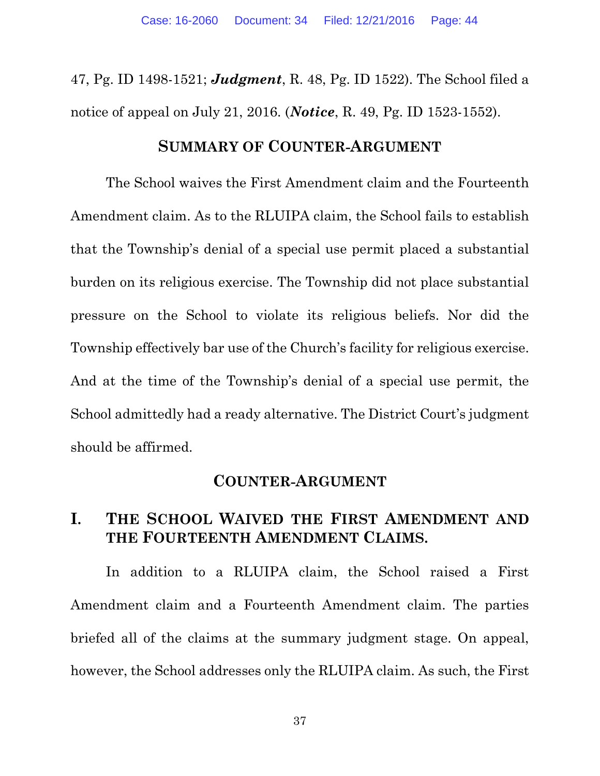47, Pg. ID 1498-1521; *Judgment*, R. 48, Pg. ID 1522). The School filed a notice of appeal on July 21, 2016. (*Notice*, R. 49, Pg. ID 1523-1552).

#### **SUMMARY OF COUNTER-ARGUMENT**

The School waives the First Amendment claim and the Fourteenth Amendment claim. As to the RLUIPA claim, the School fails to establish that the Township's denial of a special use permit placed a substantial burden on its religious exercise. The Township did not place substantial pressure on the School to violate its religious beliefs. Nor did the Township effectively bar use of the Church's facility for religious exercise. And at the time of the Township's denial of a special use permit, the School admittedly had a ready alternative. The District Court's judgment should be affirmed.

#### **COUNTER-ARGUMENT**

## **I. THE SCHOOL WAIVED THE FIRST AMENDMENT AND THE FOURTEENTH AMENDMENT CLAIMS.**

In addition to a RLUIPA claim, the School raised a First Amendment claim and a Fourteenth Amendment claim. The parties briefed all of the claims at the summary judgment stage. On appeal, however, the School addresses only the RLUIPA claim. As such, the First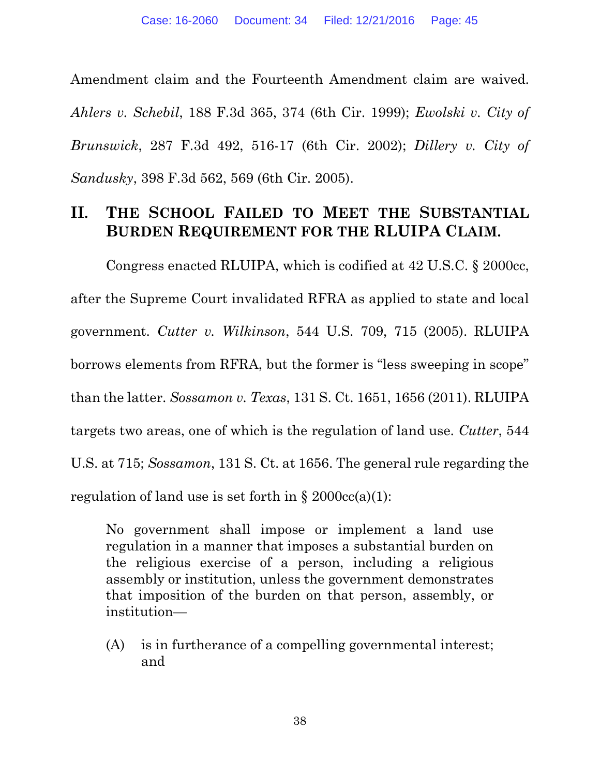Amendment claim and the Fourteenth Amendment claim are waived. *Ahlers v. Schebil*, 188 F.3d 365, 374 (6th Cir. 1999); *Ewolski v. City of Brunswick*, 287 F.3d 492, 516-17 (6th Cir. 2002); *Dillery v. City of Sandusky*, 398 F.3d 562, 569 (6th Cir. 2005).

## **II. THE SCHOOL FAILED TO MEET THE SUBSTANTIAL BURDEN REQUIREMENT FOR THE RLUIPA CLAIM.**

Congress enacted RLUIPA, which is codified at 42 U.S.C. § 2000cc, after the Supreme Court invalidated RFRA as applied to state and local government. *Cutter v. Wilkinson*, 544 U.S. 709, 715 (2005). RLUIPA borrows elements from RFRA, but the former is "less sweeping in scope" than the latter. *Sossamon v. Texas*, 131 S. Ct. 1651, 1656 (2011). RLUIPA targets two areas, one of which is the regulation of land use. *Cutter*, 544 U.S. at 715; *Sossamon*, 131 S. Ct. at 1656. The general rule regarding the regulation of land use is set forth in  $\S 2000cc(a)(1)$ :

No government shall impose or implement a land use regulation in a manner that imposes a substantial burden on the religious exercise of a person, including a religious assembly or institution, unless the government demonstrates that imposition of the burden on that person, assembly, or institution—

(A) is in furtherance of a compelling governmental interest; and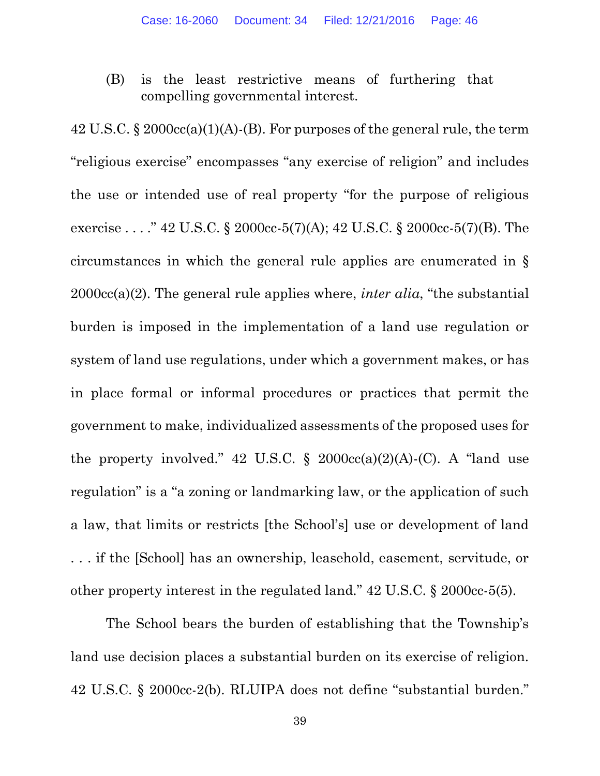(B) is the least restrictive means of furthering that compelling governmental interest.

42 U.S.C. § 2000cc(a)(1)(A)-(B). For purposes of the general rule, the term "religious exercise" encompasses "any exercise of religion" and includes the use or intended use of real property "for the purpose of religious exercise . . . ." 42 U.S.C. § 2000cc-5(7)(A); 42 U.S.C. § 2000cc-5(7)(B). The circumstances in which the general rule applies are enumerated in § 2000cc(a)(2). The general rule applies where, *inter alia*, "the substantial burden is imposed in the implementation of a land use regulation or system of land use regulations, under which a government makes, or has in place formal or informal procedures or practices that permit the government to make, individualized assessments of the proposed uses for the property involved." 42 U.S.C.  $\S$  2000cc(a)(2)(A)-(C). A "land use regulation" is a "a zoning or landmarking law, or the application of such a law, that limits or restricts [the School's] use or development of land . . . if the [School] has an ownership, leasehold, easement, servitude, or other property interest in the regulated land." 42 U.S.C. § 2000cc-5(5).

The School bears the burden of establishing that the Township's land use decision places a substantial burden on its exercise of religion. 42 U.S.C. § 2000cc-2(b). RLUIPA does not define "substantial burden."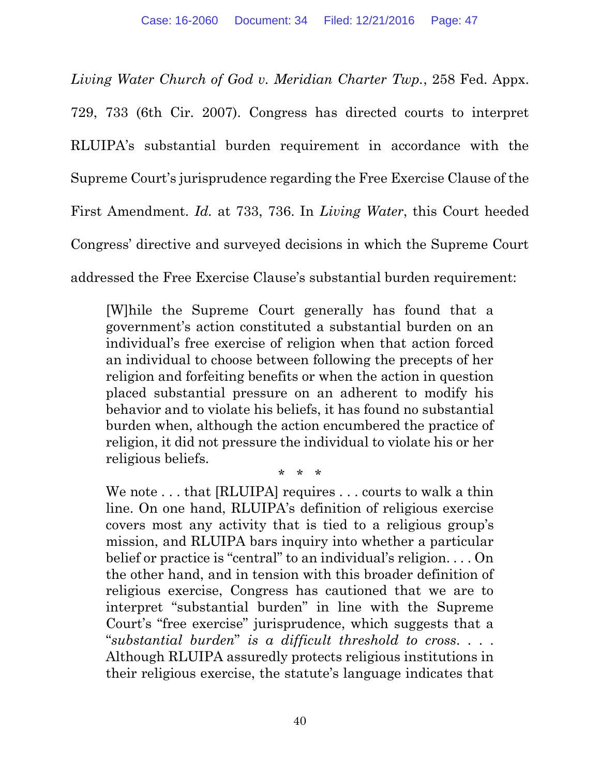*Living Water Church of God v. Meridian Charter Twp.*, 258 Fed. Appx. 729, 733 (6th Cir. 2007). Congress has directed courts to interpret RLUIPA's substantial burden requirement in accordance with the Supreme Court's jurisprudence regarding the Free Exercise Clause of the First Amendment. *Id.* at 733, 736. In *Living Water*, this Court heeded Congress' directive and surveyed decisions in which the Supreme Court addressed the Free Exercise Clause's substantial burden requirement:

[W]hile the Supreme Court generally has found that a government's action constituted a substantial burden on an individual's free exercise of religion when that action forced an individual to choose between following the precepts of her religion and forfeiting benefits or when the action in question placed substantial pressure on an adherent to modify his behavior and to violate his beliefs, it has found no substantial burden when, although the action encumbered the practice of religion, it did not pressure the individual to violate his or her religious beliefs.

\* \* \*

We note . . . that [RLUIPA] requires . . . courts to walk a thin line. On one hand, RLUIPA's definition of religious exercise covers most any activity that is tied to a religious group's mission, and RLUIPA bars inquiry into whether a particular belief or practice is "central" to an individual's religion. . . . On the other hand, and in tension with this broader definition of religious exercise, Congress has cautioned that we are to interpret "substantial burden" in line with the Supreme Court's "free exercise" jurisprudence, which suggests that a "*substantial burden*" *is a difficult threshold to cross*. . . . Although RLUIPA assuredly protects religious institutions in their religious exercise, the statute's language indicates that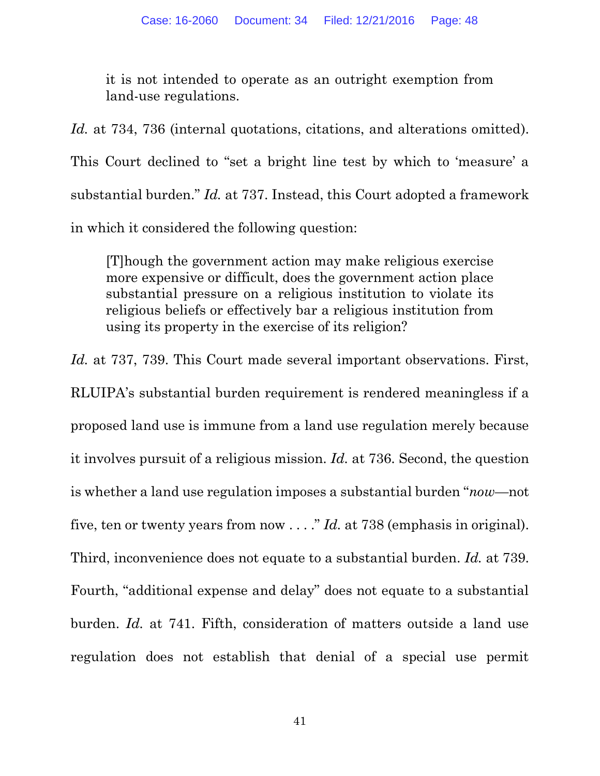it is not intended to operate as an outright exemption from land-use regulations.

*Id.* at 734, 736 (internal quotations, citations, and alterations omitted). This Court declined to "set a bright line test by which to 'measure' a substantial burden." *Id.* at 737. Instead, this Court adopted a framework in which it considered the following question:

[T]hough the government action may make religious exercise more expensive or difficult, does the government action place substantial pressure on a religious institution to violate its religious beliefs or effectively bar a religious institution from using its property in the exercise of its religion?

*Id.* at 737, 739. This Court made several important observations. First, RLUIPA's substantial burden requirement is rendered meaningless if a proposed land use is immune from a land use regulation merely because it involves pursuit of a religious mission. *Id.* at 736. Second, the question is whether a land use regulation imposes a substantial burden "*now*—not five, ten or twenty years from now . . . ." *Id.* at 738 (emphasis in original). Third, inconvenience does not equate to a substantial burden. *Id.* at 739. Fourth, "additional expense and delay" does not equate to a substantial burden. *Id.* at 741. Fifth, consideration of matters outside a land use regulation does not establish that denial of a special use permit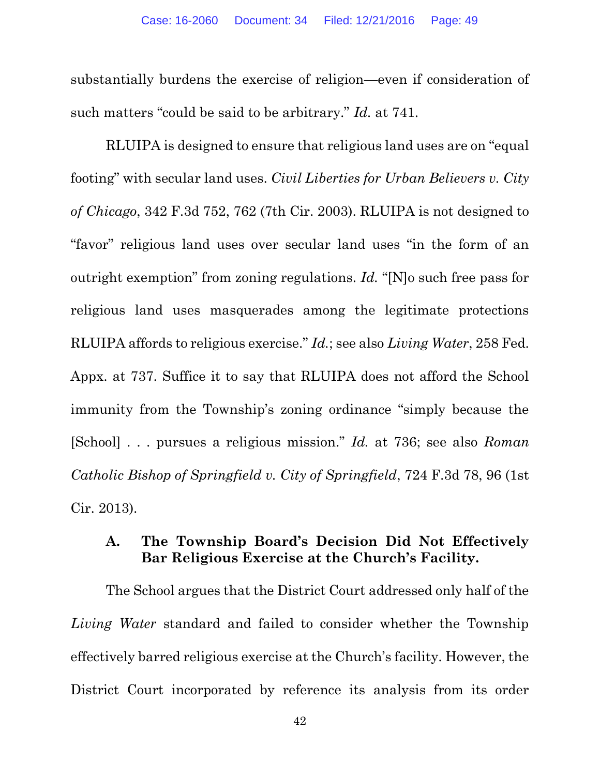substantially burdens the exercise of religion—even if consideration of such matters "could be said to be arbitrary." *Id.* at 741.

RLUIPA is designed to ensure that religious land uses are on "equal footing" with secular land uses. *Civil Liberties for Urban Believers v. City of Chicago*, 342 F.3d 752, 762 (7th Cir. 2003). RLUIPA is not designed to "favor" religious land uses over secular land uses "in the form of an outright exemption" from zoning regulations. *Id.* "[N]o such free pass for religious land uses masquerades among the legitimate protections RLUIPA affords to religious exercise." *Id.*; see also *Living Water*, 258 Fed. Appx. at 737. Suffice it to say that RLUIPA does not afford the School immunity from the Township's zoning ordinance "simply because the [School] . . . pursues a religious mission." *Id.* at 736; see also *Roman Catholic Bishop of Springfield v. City of Springfield*, 724 F.3d 78, 96 (1st Cir. 2013).

#### **A. The Township Board's Decision Did Not Effectively Bar Religious Exercise at the Church's Facility.**

The School argues that the District Court addressed only half of the *Living Water* standard and failed to consider whether the Township effectively barred religious exercise at the Church's facility. However, the District Court incorporated by reference its analysis from its order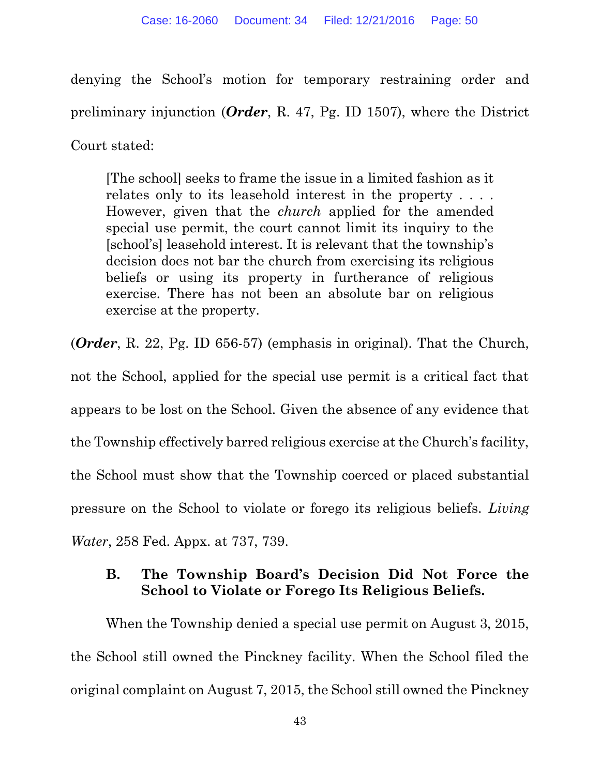denying the School's motion for temporary restraining order and preliminary injunction (*Order*, R. 47, Pg. ID 1507), where the District Court stated:

[The school] seeks to frame the issue in a limited fashion as it relates only to its leasehold interest in the property . . . . However, given that the *church* applied for the amended special use permit, the court cannot limit its inquiry to the [school's] leasehold interest. It is relevant that the township's decision does not bar the church from exercising its religious beliefs or using its property in furtherance of religious exercise. There has not been an absolute bar on religious exercise at the property.

(*Order*, R. 22, Pg. ID 656-57) (emphasis in original). That the Church,

not the School, applied for the special use permit is a critical fact that appears to be lost on the School. Given the absence of any evidence that the Township effectively barred religious exercise at the Church's facility, the School must show that the Township coerced or placed substantial pressure on the School to violate or forego its religious beliefs. *Living Water*, 258 Fed. Appx. at 737, 739.

### **B. The Township Board's Decision Did Not Force the School to Violate or Forego Its Religious Beliefs.**

When the Township denied a special use permit on August 3, 2015, the School still owned the Pinckney facility. When the School filed the original complaint on August 7, 2015, the School still owned the Pinckney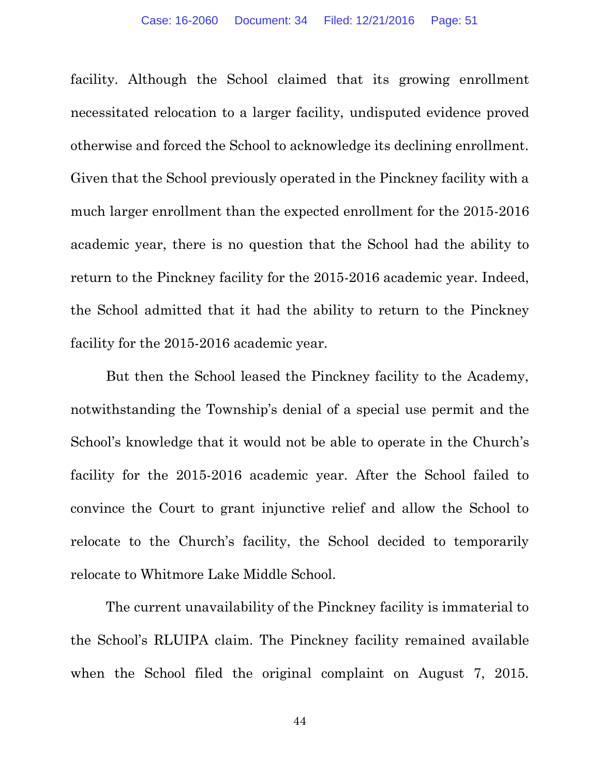facility. Although the School claimed that its growing enrollment necessitated relocation to a larger facility, undisputed evidence proved otherwise and forced the School to acknowledge its declining enrollment. Given that the School previously operated in the Pinckney facility with a much larger enrollment than the expected enrollment for the 2015-2016 academic year, there is no question that the School had the ability to return to the Pinckney facility for the 2015-2016 academic year. Indeed, the School admitted that it had the ability to return to the Pinckney facility for the 2015-2016 academic year.

But then the School leased the Pinckney facility to the Academy, notwithstanding the Township's denial of a special use permit and the School's knowledge that it would not be able to operate in the Church's facility for the 2015-2016 academic year. After the School failed to convince the Court to grant injunctive relief and allow the School to relocate to the Church's facility, the School decided to temporarily relocate to Whitmore Lake Middle School.

The current unavailability of the Pinckney facility is immaterial to the School's RLUIPA claim. The Pinckney facility remained available when the School filed the original complaint on August 7, 2015.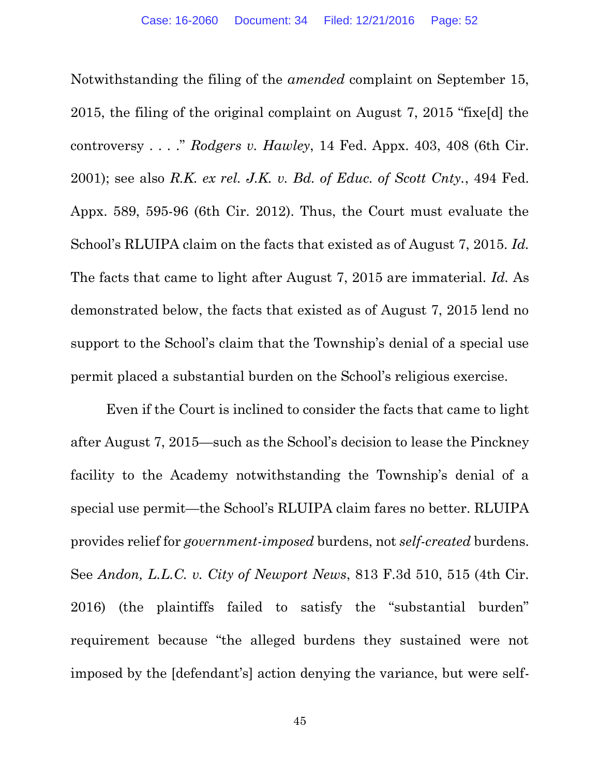Notwithstanding the filing of the *amended* complaint on September 15, 2015, the filing of the original complaint on August 7, 2015 "fixe[d] the controversy . . . ." *Rodgers v. Hawley*, 14 Fed. Appx. 403, 408 (6th Cir. 2001); see also *R.K. ex rel. J.K. v. Bd. of Educ. of Scott Cnty.*, 494 Fed. Appx. 589, 595-96 (6th Cir. 2012). Thus, the Court must evaluate the School's RLUIPA claim on the facts that existed as of August 7, 2015. *Id.* The facts that came to light after August 7, 2015 are immaterial. *Id.* As demonstrated below, the facts that existed as of August 7, 2015 lend no support to the School's claim that the Township's denial of a special use permit placed a substantial burden on the School's religious exercise.

Even if the Court is inclined to consider the facts that came to light after August 7, 2015—such as the School's decision to lease the Pinckney facility to the Academy notwithstanding the Township's denial of a special use permit—the School's RLUIPA claim fares no better. RLUIPA provides relief for *government-imposed* burdens, not *self-created* burdens. See *Andon, L.L.C. v. City of Newport News*, 813 F.3d 510, 515 (4th Cir. 2016) (the plaintiffs failed to satisfy the "substantial burden" requirement because "the alleged burdens they sustained were not imposed by the [defendant's] action denying the variance, but were self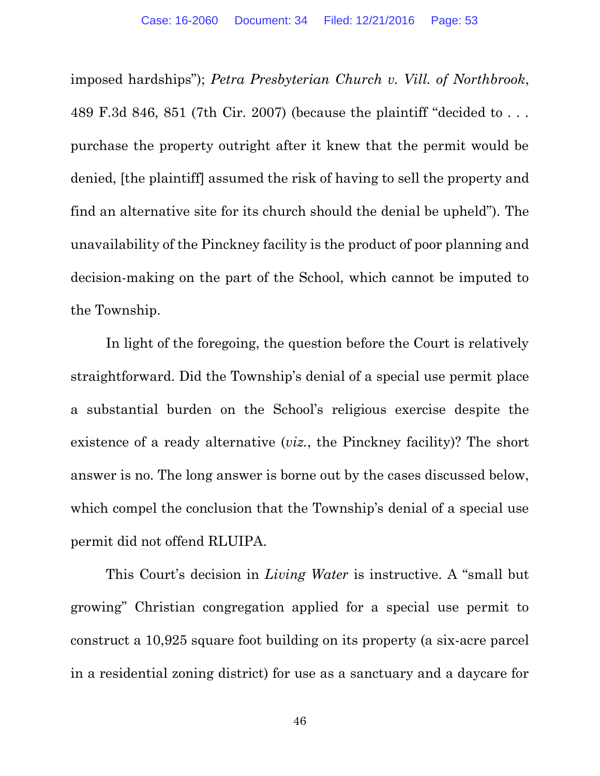imposed hardships"); *Petra Presbyterian Church v. Vill. of Northbrook*, 489 F.3d 846, 851 (7th Cir. 2007) (because the plaintiff "decided to . . . purchase the property outright after it knew that the permit would be denied, [the plaintiff] assumed the risk of having to sell the property and find an alternative site for its church should the denial be upheld"). The unavailability of the Pinckney facility is the product of poor planning and decision-making on the part of the School, which cannot be imputed to the Township.

In light of the foregoing, the question before the Court is relatively straightforward. Did the Township's denial of a special use permit place a substantial burden on the School's religious exercise despite the existence of a ready alternative (*viz.*, the Pinckney facility)? The short answer is no. The long answer is borne out by the cases discussed below, which compel the conclusion that the Township's denial of a special use permit did not offend RLUIPA.

This Court's decision in *Living Water* is instructive. A "small but growing" Christian congregation applied for a special use permit to construct a 10,925 square foot building on its property (a six-acre parcel in a residential zoning district) for use as a sanctuary and a daycare for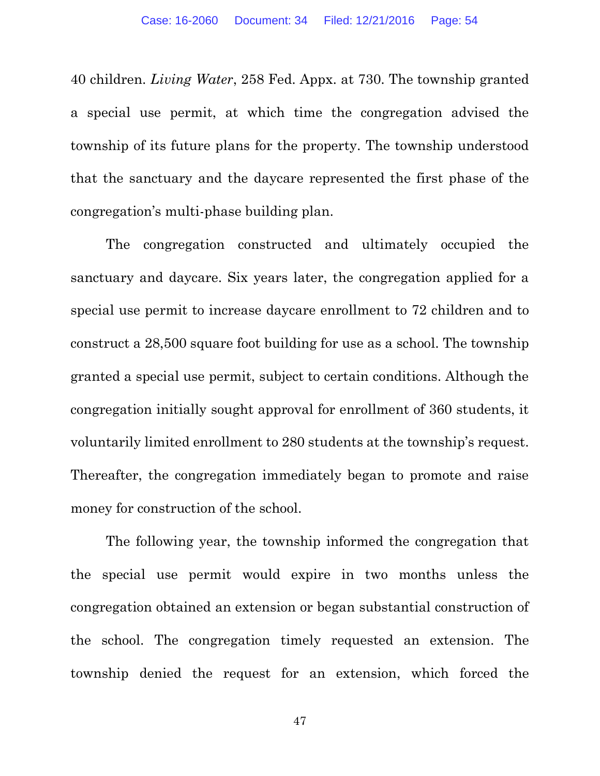40 children. *Living Water*, 258 Fed. Appx. at 730. The township granted a special use permit, at which time the congregation advised the township of its future plans for the property. The township understood that the sanctuary and the daycare represented the first phase of the congregation's multi-phase building plan.

The congregation constructed and ultimately occupied the sanctuary and daycare. Six years later, the congregation applied for a special use permit to increase daycare enrollment to 72 children and to construct a 28,500 square foot building for use as a school. The township granted a special use permit, subject to certain conditions. Although the congregation initially sought approval for enrollment of 360 students, it voluntarily limited enrollment to 280 students at the township's request. Thereafter, the congregation immediately began to promote and raise money for construction of the school.

The following year, the township informed the congregation that the special use permit would expire in two months unless the congregation obtained an extension or began substantial construction of the school. The congregation timely requested an extension. The township denied the request for an extension, which forced the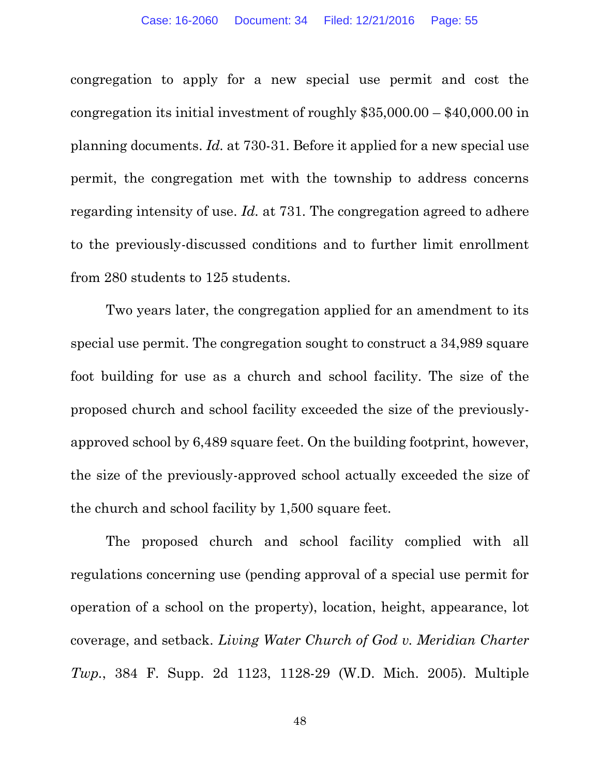congregation to apply for a new special use permit and cost the congregation its initial investment of roughly \$35,000.00 – \$40,000.00 in planning documents. *Id.* at 730-31. Before it applied for a new special use permit, the congregation met with the township to address concerns regarding intensity of use. *Id.* at 731. The congregation agreed to adhere to the previously-discussed conditions and to further limit enrollment from 280 students to 125 students.

Two years later, the congregation applied for an amendment to its special use permit. The congregation sought to construct a 34,989 square foot building for use as a church and school facility. The size of the proposed church and school facility exceeded the size of the previouslyapproved school by 6,489 square feet. On the building footprint, however, the size of the previously-approved school actually exceeded the size of the church and school facility by 1,500 square feet.

The proposed church and school facility complied with all regulations concerning use (pending approval of a special use permit for operation of a school on the property), location, height, appearance, lot coverage, and setback. *Living Water Church of God v. Meridian Charter Twp.*, 384 F. Supp. 2d 1123, 1128-29 (W.D. Mich. 2005). Multiple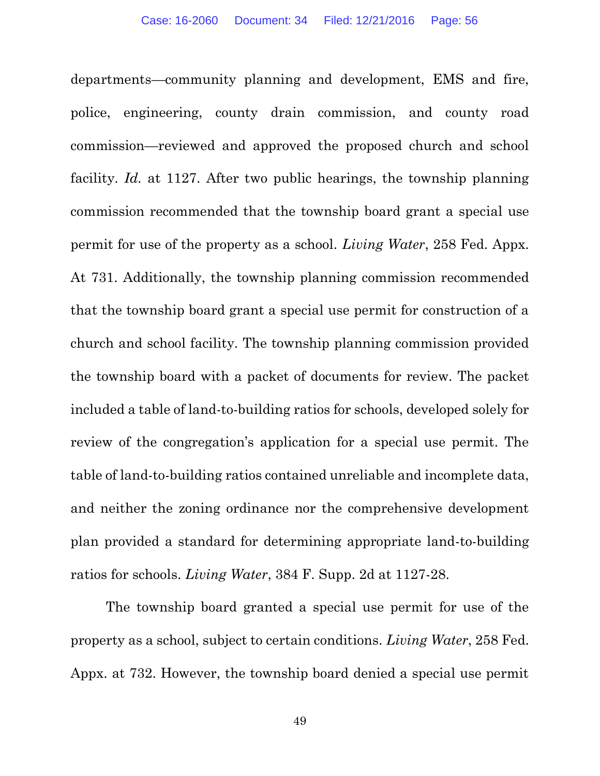departments—community planning and development, EMS and fire, police, engineering, county drain commission, and county road commission—reviewed and approved the proposed church and school facility. *Id.* at 1127. After two public hearings, the township planning commission recommended that the township board grant a special use permit for use of the property as a school. *Living Water*, 258 Fed. Appx. At 731. Additionally, the township planning commission recommended that the township board grant a special use permit for construction of a church and school facility. The township planning commission provided the township board with a packet of documents for review. The packet included a table of land-to-building ratios for schools, developed solely for review of the congregation's application for a special use permit. The table of land-to-building ratios contained unreliable and incomplete data, and neither the zoning ordinance nor the comprehensive development plan provided a standard for determining appropriate land-to-building ratios for schools. *Living Water*, 384 F. Supp. 2d at 1127-28.

The township board granted a special use permit for use of the property as a school, subject to certain conditions. *Living Water*, 258 Fed. Appx. at 732. However, the township board denied a special use permit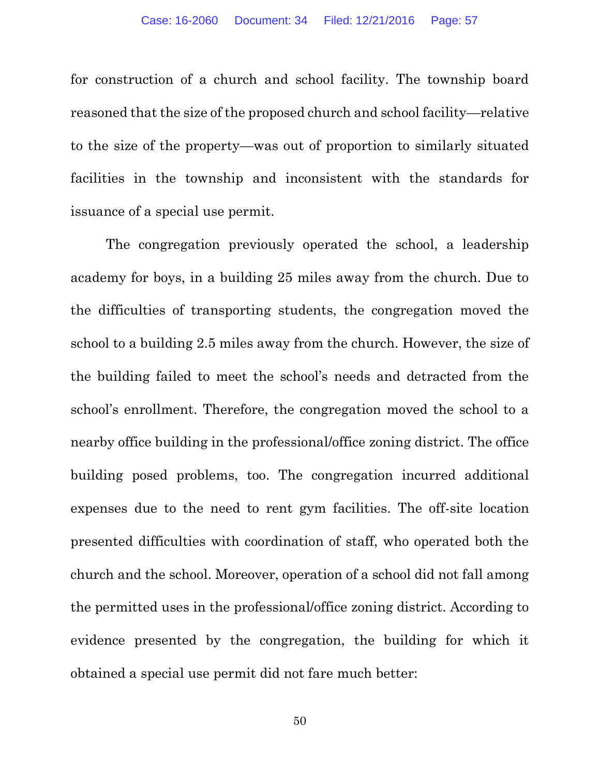for construction of a church and school facility. The township board reasoned that the size of the proposed church and school facility—relative to the size of the property—was out of proportion to similarly situated facilities in the township and inconsistent with the standards for issuance of a special use permit.

The congregation previously operated the school, a leadership academy for boys, in a building 25 miles away from the church. Due to the difficulties of transporting students, the congregation moved the school to a building 2.5 miles away from the church. However, the size of the building failed to meet the school's needs and detracted from the school's enrollment. Therefore, the congregation moved the school to a nearby office building in the professional/office zoning district. The office building posed problems, too. The congregation incurred additional expenses due to the need to rent gym facilities. The off-site location presented difficulties with coordination of staff, who operated both the church and the school. Moreover, operation of a school did not fall among the permitted uses in the professional/office zoning district. According to evidence presented by the congregation, the building for which it obtained a special use permit did not fare much better: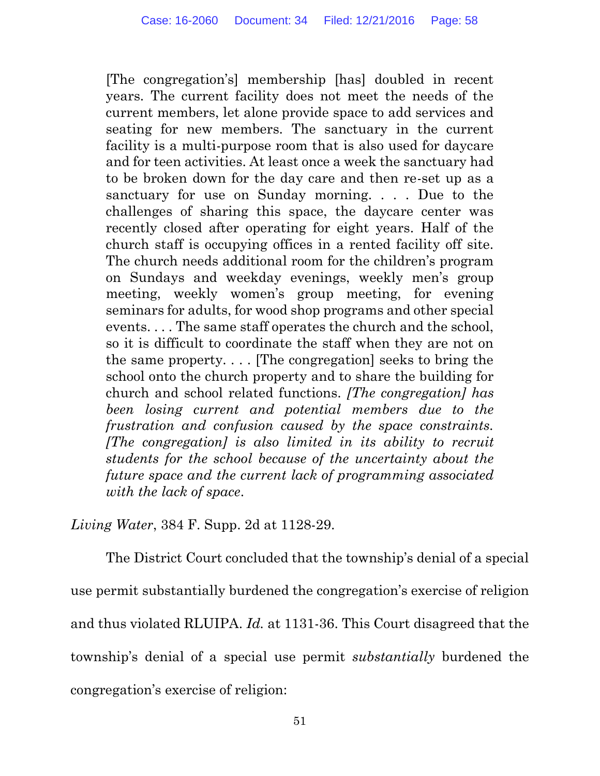[The congregation's] membership [has] doubled in recent years. The current facility does not meet the needs of the current members, let alone provide space to add services and seating for new members. The sanctuary in the current facility is a multi-purpose room that is also used for daycare and for teen activities. At least once a week the sanctuary had to be broken down for the day care and then re-set up as a sanctuary for use on Sunday morning. . . . Due to the challenges of sharing this space, the daycare center was recently closed after operating for eight years. Half of the church staff is occupying offices in a rented facility off site. The church needs additional room for the children's program on Sundays and weekday evenings, weekly men's group meeting, weekly women's group meeting, for evening seminars for adults, for wood shop programs and other special events. . . . The same staff operates the church and the school, so it is difficult to coordinate the staff when they are not on the same property.  $\ldots$  [The congregation] seeks to bring the school onto the church property and to share the building for church and school related functions. *[The congregation] has been losing current and potential members due to the frustration and confusion caused by the space constraints. [The congregation] is also limited in its ability to recruit students for the school because of the uncertainty about the future space and the current lack of programming associated with the lack of space*.

*Living Water*, 384 F. Supp. 2d at 1128-29.

The District Court concluded that the township's denial of a special use permit substantially burdened the congregation's exercise of religion and thus violated RLUIPA. *Id.* at 1131-36. This Court disagreed that the township's denial of a special use permit *substantially* burdened the congregation's exercise of religion: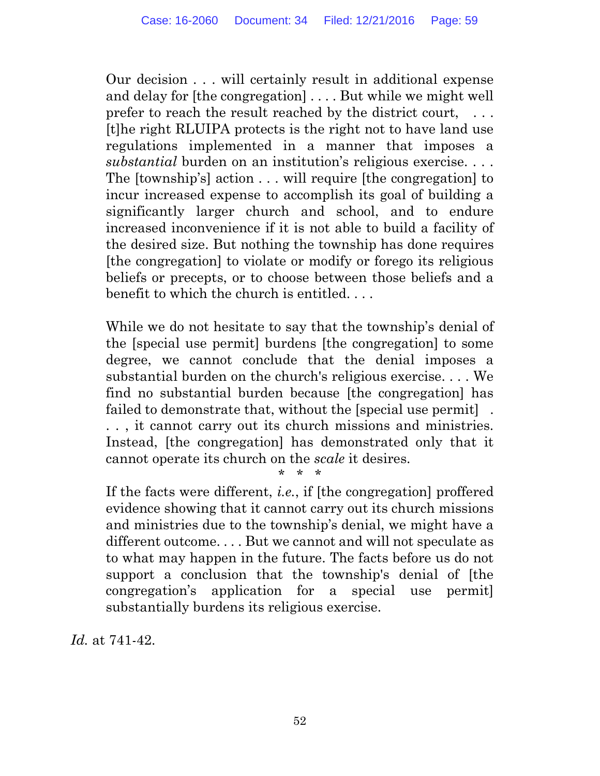Our decision . . . will certainly result in additional expense and delay for [the congregation] . . . . But while we might well prefer to reach the result reached by the district court, ... [t]he right RLUIPA protects is the right not to have land use regulations implemented in a manner that imposes a *substantial* burden on an institution's religious exercise. . . . The [township's] action . . . will require [the congregation] to incur increased expense to accomplish its goal of building a significantly larger church and school, and to endure increased inconvenience if it is not able to build a facility of the desired size. But nothing the township has done requires [the congregation] to violate or modify or forego its religious beliefs or precepts, or to choose between those beliefs and a benefit to which the church is entitled. . . .

While we do not hesitate to say that the township's denial of the [special use permit] burdens [the congregation] to some degree, we cannot conclude that the denial imposes a substantial burden on the church's religious exercise. . . . We find no substantial burden because [the congregation] has failed to demonstrate that, without the [special use permit] . . . , it cannot carry out its church missions and ministries. Instead, [the congregation] has demonstrated only that it cannot operate its church on the *scale* it desires.

\* \* \*

If the facts were different, *i.e.*, if [the congregation] proffered evidence showing that it cannot carry out its church missions and ministries due to the township's denial, we might have a different outcome. . . . But we cannot and will not speculate as to what may happen in the future. The facts before us do not support a conclusion that the township's denial of [the congregation's application for a special use permit] substantially burdens its religious exercise.

*Id.* at 741-42.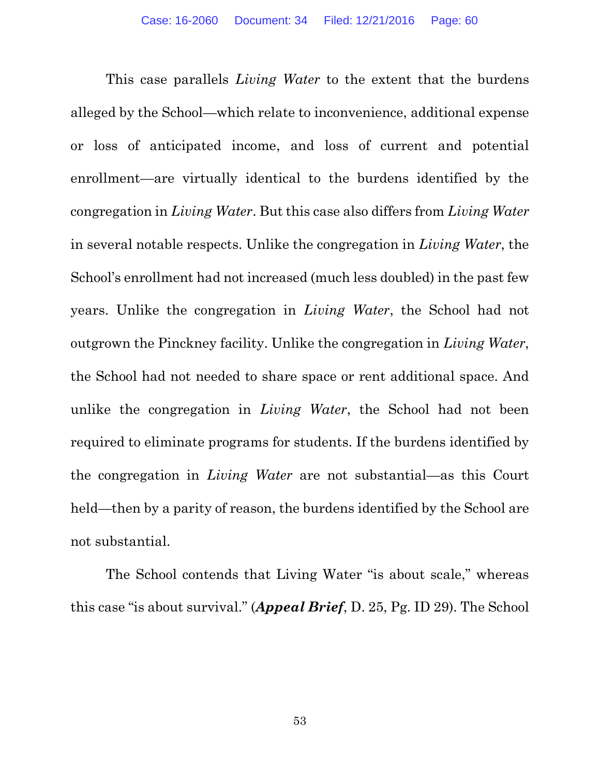This case parallels *Living Water* to the extent that the burdens alleged by the School—which relate to inconvenience, additional expense or loss of anticipated income, and loss of current and potential enrollment—are virtually identical to the burdens identified by the congregation in *Living Water*. But this case also differs from *Living Water*  in several notable respects. Unlike the congregation in *Living Water*, the School's enrollment had not increased (much less doubled) in the past few years. Unlike the congregation in *Living Water*, the School had not outgrown the Pinckney facility. Unlike the congregation in *Living Water*, the School had not needed to share space or rent additional space. And unlike the congregation in *Living Water*, the School had not been required to eliminate programs for students. If the burdens identified by the congregation in *Living Water* are not substantial—as this Court held—then by a parity of reason, the burdens identified by the School are not substantial.

The School contends that Living Water "is about scale," whereas this case "is about survival." (*Appeal Brief*, D. 25, Pg. ID 29). The School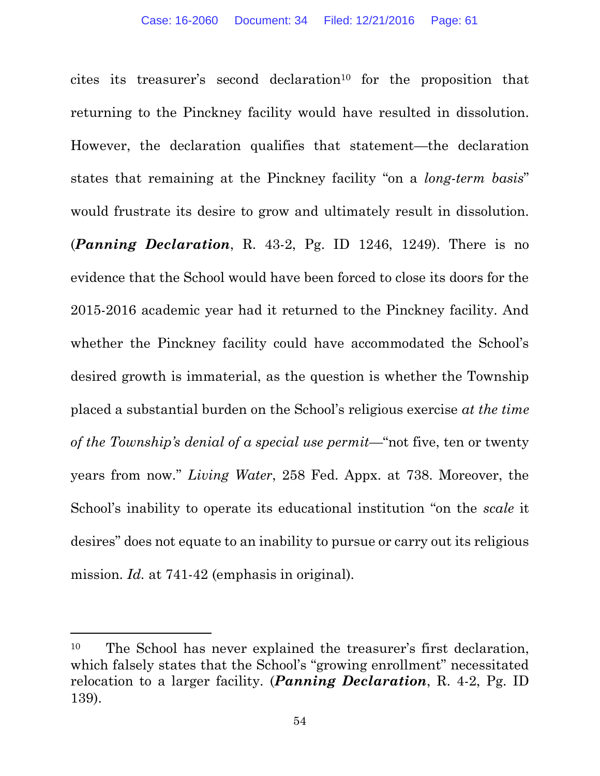cites its treasurer's second declaration<sup>10</sup> for the proposition that returning to the Pinckney facility would have resulted in dissolution. However, the declaration qualifies that statement—the declaration states that remaining at the Pinckney facility "on a *long-term basis*" would frustrate its desire to grow and ultimately result in dissolution.

(*Panning Declaration*, R. 43-2, Pg. ID 1246, 1249). There is no evidence that the School would have been forced to close its doors for the 2015-2016 academic year had it returned to the Pinckney facility. And whether the Pinckney facility could have accommodated the School's desired growth is immaterial, as the question is whether the Township placed a substantial burden on the School's religious exercise *at the time of the Township's denial of a special use permit*—"not five, ten or twenty years from now*.*" *Living Water*, 258 Fed. Appx. at 738. Moreover, the School's inability to operate its educational institution "on the *scale* it desires" does not equate to an inability to pursue or carry out its religious mission. *Id.* at 741-42 (emphasis in original).

 $\overline{a}$ 

<sup>&</sup>lt;sup>10</sup> The School has never explained the treasurer's first declaration, which falsely states that the School's "growing enrollment" necessitated relocation to a larger facility. (*Panning Declaration*, R. 4-2, Pg. ID 139).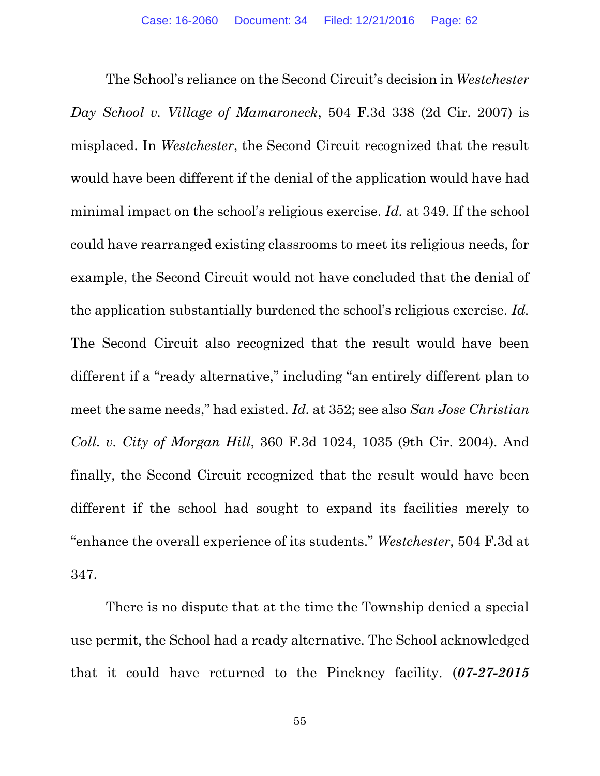The School's reliance on the Second Circuit's decision in *Westchester Day School v. Village of Mamaroneck*, 504 F.3d 338 (2d Cir. 2007) is misplaced. In *Westchester*, the Second Circuit recognized that the result would have been different if the denial of the application would have had minimal impact on the school's religious exercise. *Id.* at 349. If the school could have rearranged existing classrooms to meet its religious needs, for example, the Second Circuit would not have concluded that the denial of the application substantially burdened the school's religious exercise. *Id.* The Second Circuit also recognized that the result would have been different if a "ready alternative," including "an entirely different plan to meet the same needs," had existed. *Id.* at 352; see also *San Jose Christian Coll. v. City of Morgan Hill*, 360 F.3d 1024, 1035 (9th Cir. 2004). And finally, the Second Circuit recognized that the result would have been different if the school had sought to expand its facilities merely to "enhance the overall experience of its students." *Westchester*, 504 F.3d at 347.

There is no dispute that at the time the Township denied a special use permit, the School had a ready alternative. The School acknowledged that it could have returned to the Pinckney facility. (*07-27-2015*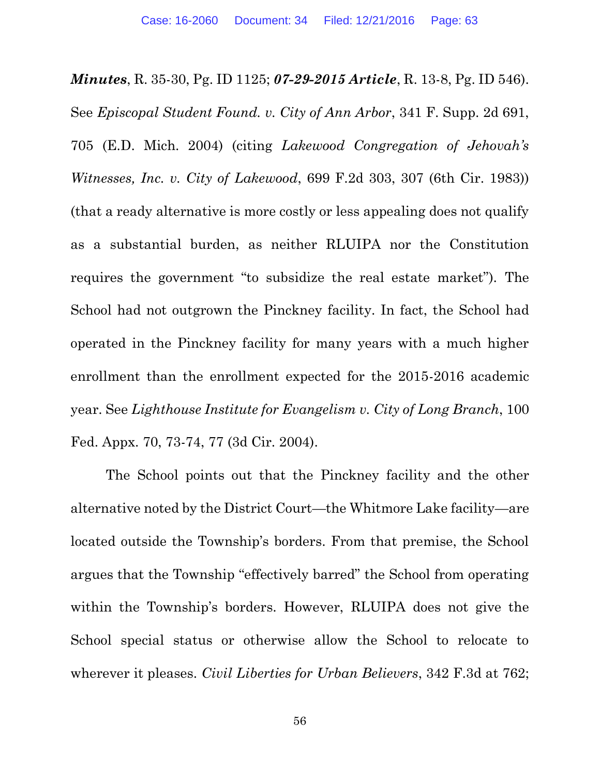*Minutes*, R. 35-30, Pg. ID 1125; *07-29-2015 Article*, R. 13-8, Pg. ID 546). See *Episcopal Student Found. v. City of Ann Arbor*, 341 F. Supp. 2d 691, 705 (E.D. Mich. 2004) (citing *Lakewood Congregation of Jehovah's Witnesses, Inc. v. City of Lakewood*, 699 F.2d 303, 307 (6th Cir. 1983)) (that a ready alternative is more costly or less appealing does not qualify as a substantial burden, as neither RLUIPA nor the Constitution requires the government "to subsidize the real estate market"). The School had not outgrown the Pinckney facility. In fact, the School had operated in the Pinckney facility for many years with a much higher enrollment than the enrollment expected for the 2015-2016 academic year. See *Lighthouse Institute for Evangelism v. City of Long Branch*, 100 Fed. Appx. 70, 73-74, 77 (3d Cir. 2004).

The School points out that the Pinckney facility and the other alternative noted by the District Court—the Whitmore Lake facility—are located outside the Township's borders. From that premise, the School argues that the Township "effectively barred" the School from operating within the Township's borders. However, RLUIPA does not give the School special status or otherwise allow the School to relocate to wherever it pleases. *Civil Liberties for Urban Believers*, 342 F.3d at 762;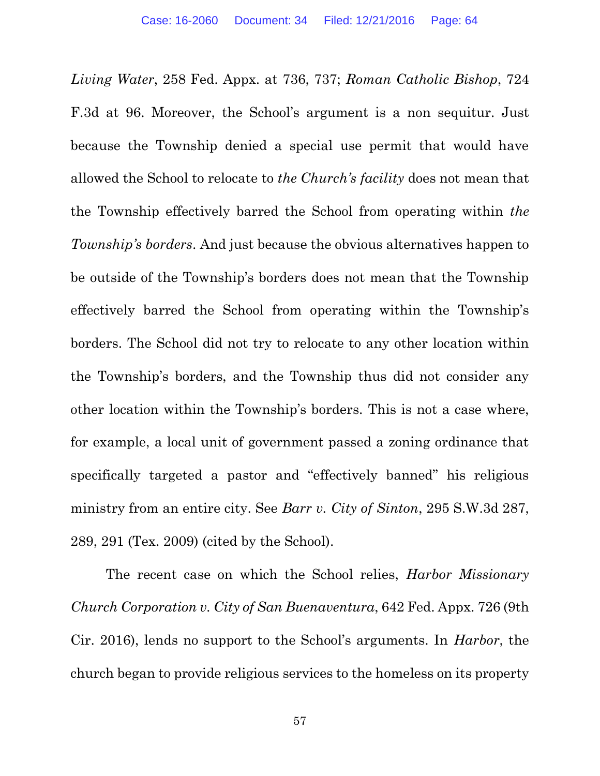*Living Water*, 258 Fed. Appx. at 736, 737; *Roman Catholic Bishop*, 724 F.3d at 96. Moreover, the School's argument is a non sequitur. Just because the Township denied a special use permit that would have allowed the School to relocate to *the Church's facility* does not mean that the Township effectively barred the School from operating within *the Township's borders*. And just because the obvious alternatives happen to be outside of the Township's borders does not mean that the Township effectively barred the School from operating within the Township's borders. The School did not try to relocate to any other location within the Township's borders, and the Township thus did not consider any other location within the Township's borders. This is not a case where, for example, a local unit of government passed a zoning ordinance that specifically targeted a pastor and "effectively banned" his religious ministry from an entire city. See *Barr v. City of Sinton*, 295 S.W.3d 287, 289, 291 (Tex. 2009) (cited by the School).

The recent case on which the School relies, *Harbor Missionary Church Corporation v. City of San Buenaventura*, 642 Fed. Appx. 726 (9th Cir. 2016), lends no support to the School's arguments. In *Harbor*, the church began to provide religious services to the homeless on its property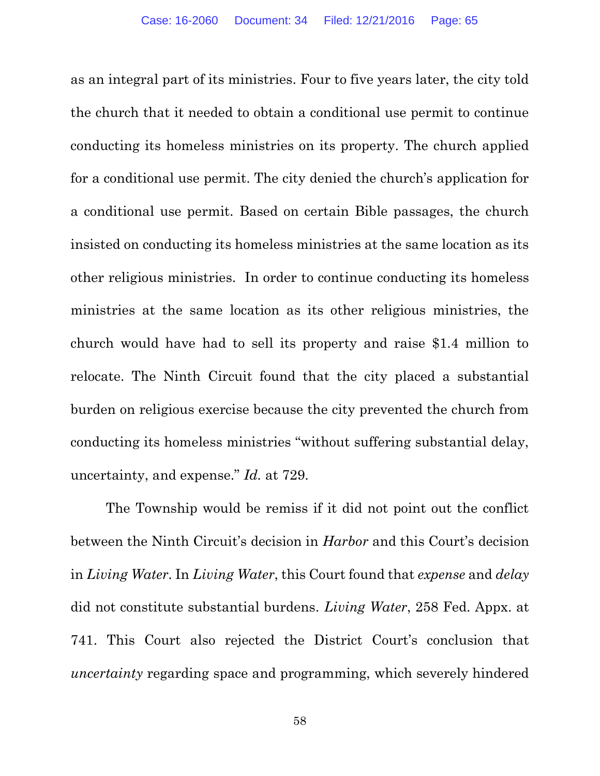as an integral part of its ministries. Four to five years later, the city told the church that it needed to obtain a conditional use permit to continue conducting its homeless ministries on its property. The church applied for a conditional use permit. The city denied the church's application for a conditional use permit. Based on certain Bible passages, the church insisted on conducting its homeless ministries at the same location as its other religious ministries. In order to continue conducting its homeless ministries at the same location as its other religious ministries, the church would have had to sell its property and raise \$1.4 million to relocate. The Ninth Circuit found that the city placed a substantial burden on religious exercise because the city prevented the church from conducting its homeless ministries "without suffering substantial delay, uncertainty, and expense." *Id.* at 729.

The Township would be remiss if it did not point out the conflict between the Ninth Circuit's decision in *Harbor* and this Court's decision in *Living Water*. In *Living Water*, this Court found that *expense* and *delay* did not constitute substantial burdens. *Living Water*, 258 Fed. Appx. at 741. This Court also rejected the District Court's conclusion that *uncertainty* regarding space and programming, which severely hindered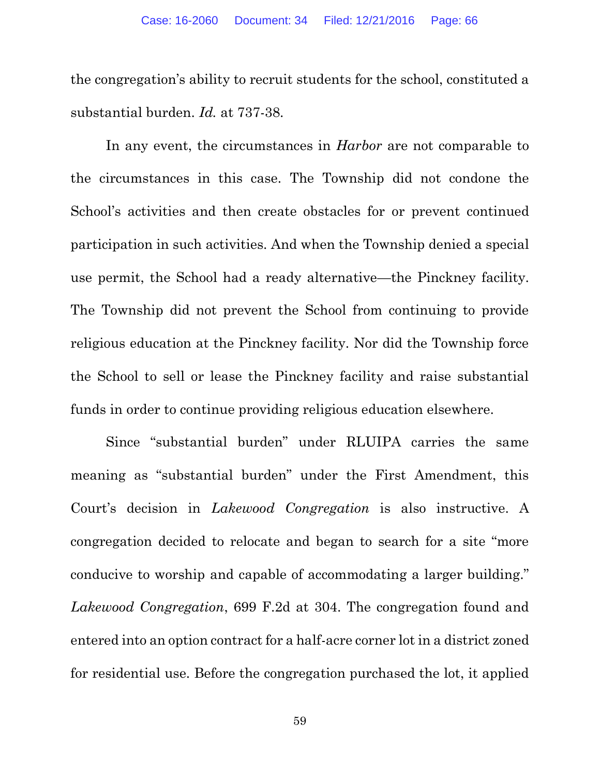the congregation's ability to recruit students for the school, constituted a substantial burden. *Id.* at 737-38.

In any event, the circumstances in *Harbor* are not comparable to the circumstances in this case. The Township did not condone the School's activities and then create obstacles for or prevent continued participation in such activities. And when the Township denied a special use permit, the School had a ready alternative—the Pinckney facility. The Township did not prevent the School from continuing to provide religious education at the Pinckney facility. Nor did the Township force the School to sell or lease the Pinckney facility and raise substantial funds in order to continue providing religious education elsewhere.

Since "substantial burden" under RLUIPA carries the same meaning as "substantial burden" under the First Amendment, this Court's decision in *Lakewood Congregation* is also instructive. A congregation decided to relocate and began to search for a site "more conducive to worship and capable of accommodating a larger building." *Lakewood Congregation*, 699 F.2d at 304. The congregation found and entered into an option contract for a half-acre corner lot in a district zoned for residential use. Before the congregation purchased the lot, it applied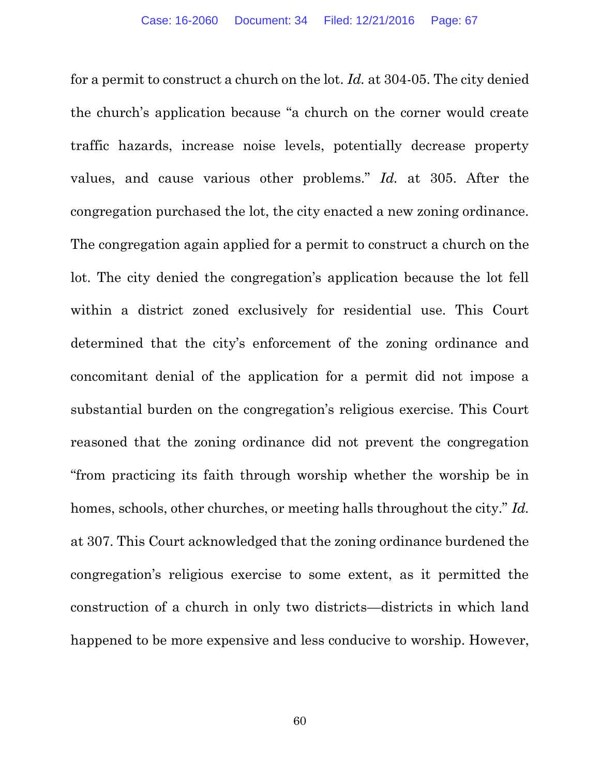for a permit to construct a church on the lot. *Id.* at 304-05. The city denied the church's application because "a church on the corner would create traffic hazards, increase noise levels, potentially decrease property values, and cause various other problems." *Id.* at 305. After the congregation purchased the lot, the city enacted a new zoning ordinance. The congregation again applied for a permit to construct a church on the lot. The city denied the congregation's application because the lot fell within a district zoned exclusively for residential use. This Court determined that the city's enforcement of the zoning ordinance and concomitant denial of the application for a permit did not impose a substantial burden on the congregation's religious exercise. This Court reasoned that the zoning ordinance did not prevent the congregation "from practicing its faith through worship whether the worship be in homes, schools, other churches, or meeting halls throughout the city." *Id.* at 307. This Court acknowledged that the zoning ordinance burdened the congregation's religious exercise to some extent, as it permitted the construction of a church in only two districts—districts in which land happened to be more expensive and less conducive to worship. However,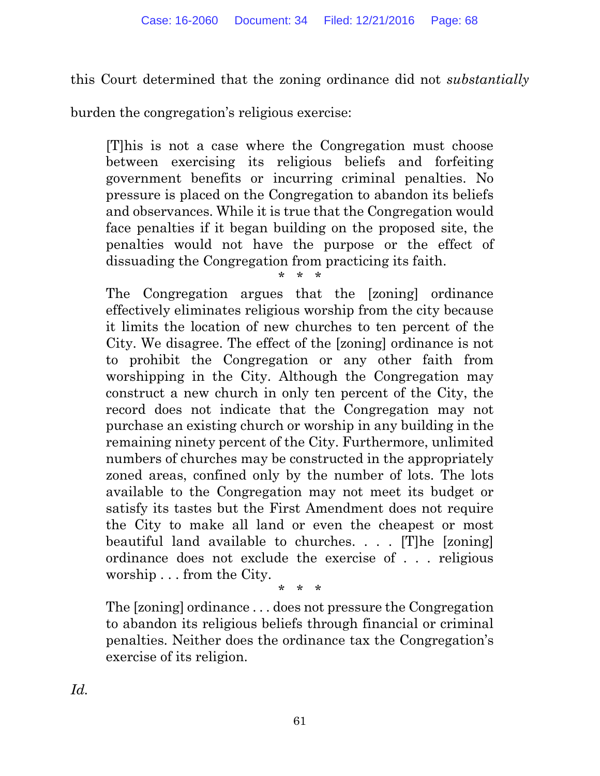this Court determined that the zoning ordinance did not *substantially* 

burden the congregation's religious exercise:

[T]his is not a case where the Congregation must choose between exercising its religious beliefs and forfeiting government benefits or incurring criminal penalties. No pressure is placed on the Congregation to abandon its beliefs and observances. While it is true that the Congregation would face penalties if it began building on the proposed site, the penalties would not have the purpose or the effect of dissuading the Congregation from practicing its faith.

\* \* \*

The Congregation argues that the [zoning] ordinance effectively eliminates religious worship from the city because it limits the location of new churches to ten percent of the City. We disagree. The effect of the [zoning] ordinance is not to prohibit the Congregation or any other faith from worshipping in the City. Although the Congregation may construct a new church in only ten percent of the City, the record does not indicate that the Congregation may not purchase an existing church or worship in any building in the remaining ninety percent of the City. Furthermore, unlimited numbers of churches may be constructed in the appropriately zoned areas, confined only by the number of lots. The lots available to the Congregation may not meet its budget or satisfy its tastes but the First Amendment does not require the City to make all land or even the cheapest or most beautiful land available to churches. . . . [T]he [zoning] ordinance does not exclude the exercise of . . . religious worship . . . from the City.

\* \* \*

The [zoning] ordinance . . . does not pressure the Congregation to abandon its religious beliefs through financial or criminal penalties. Neither does the ordinance tax the Congregation's exercise of its religion.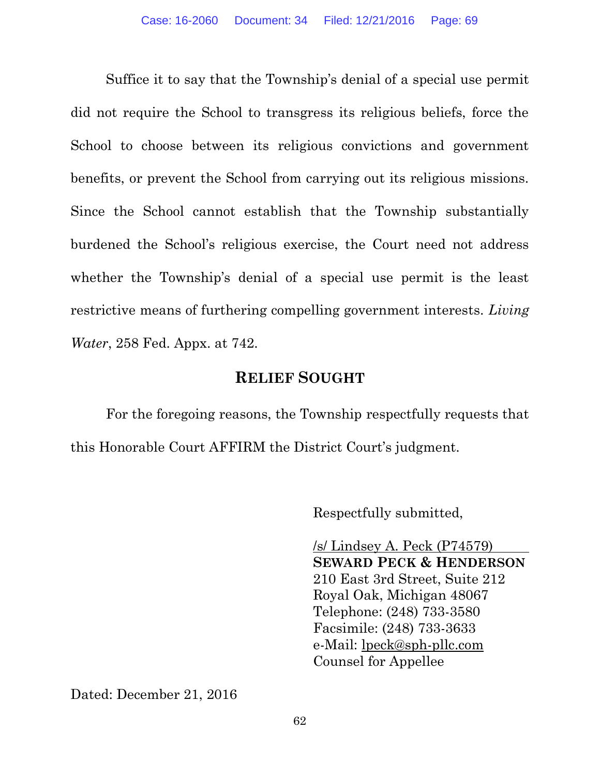Suffice it to say that the Township's denial of a special use permit did not require the School to transgress its religious beliefs, force the School to choose between its religious convictions and government benefits, or prevent the School from carrying out its religious missions. Since the School cannot establish that the Township substantially burdened the School's religious exercise, the Court need not address whether the Township's denial of a special use permit is the least restrictive means of furthering compelling government interests. *Living Water*, 258 Fed. Appx. at 742.

#### **RELIEF SOUGHT**

For the foregoing reasons, the Township respectfully requests that this Honorable Court AFFIRM the District Court's judgment.

Respectfully submitted,

/s/ Lindsey A. Peck (P74579) **SEWARD PECK & HENDERSON** 210 East 3rd Street, Suite 212 Royal Oak, Michigan 48067 Telephone: (248) 733-3580 Facsimile: (248) 733-3633 e-Mail: [lpeck@sph-pllc.com](mailto:lpeck@sph-pllc.com) Counsel for Appellee

Dated: December 21, 2016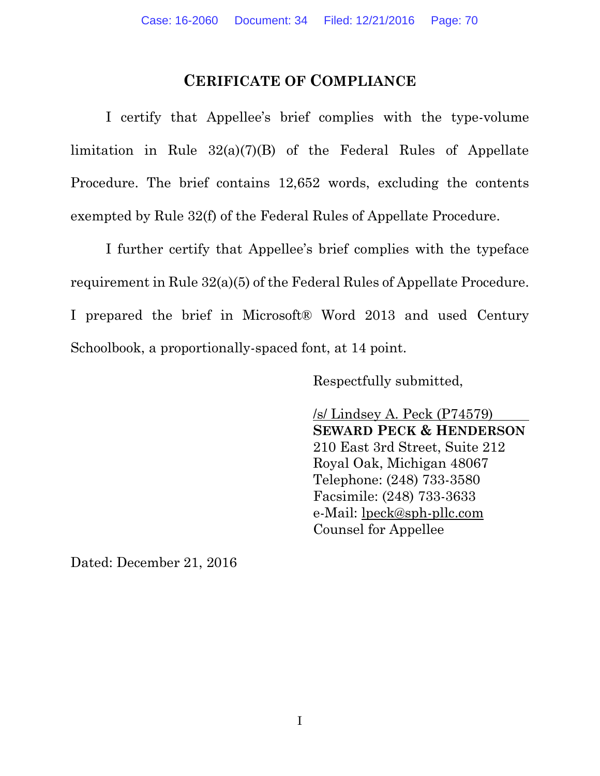### **CERIFICATE OF COMPLIANCE**

I certify that Appellee's brief complies with the type-volume limitation in Rule 32(a)(7)(B) of the Federal Rules of Appellate Procedure. The brief contains 12,652 words, excluding the contents exempted by Rule 32(f) of the Federal Rules of Appellate Procedure.

I further certify that Appellee's brief complies with the typeface requirement in Rule 32(a)(5) of the Federal Rules of Appellate Procedure. I prepared the brief in Microsoft® Word 2013 and used Century Schoolbook, a proportionally-spaced font, at 14 point.

Respectfully submitted,

/s/ Lindsey A. Peck (P74579) **SEWARD PECK & HENDERSON** 210 East 3rd Street, Suite 212 Royal Oak, Michigan 48067 Telephone: (248) 733-3580 Facsimile: (248) 733-3633 e-Mail: [lpeck@sph-pllc.com](mailto:lpeck@sph-pllc.com) Counsel for Appellee

Dated: December 21, 2016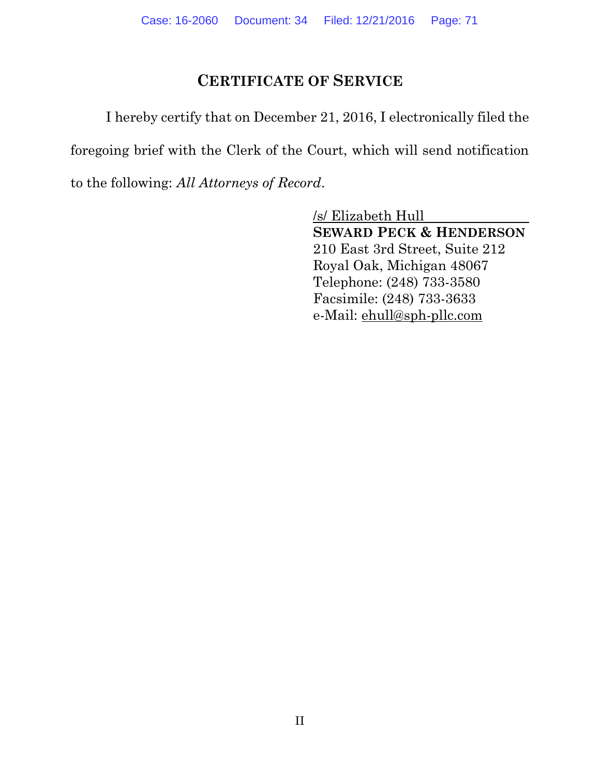## **CERTIFICATE OF SERVICE**

I hereby certify that on December 21, 2016, I electronically filed the foregoing brief with the Clerk of the Court, which will send notification to the following: *All Attorneys of Record*.

> /s/ Elizabeth Hull **SEWARD PECK & HENDERSON** 210 East 3rd Street, Suite 212 Royal Oak, Michigan 48067 Telephone: (248) 733-3580 Facsimile: (248) 733-3633 e-Mail: [ehull@sph-pllc.com](mailto:ehull@sph-pllc.com)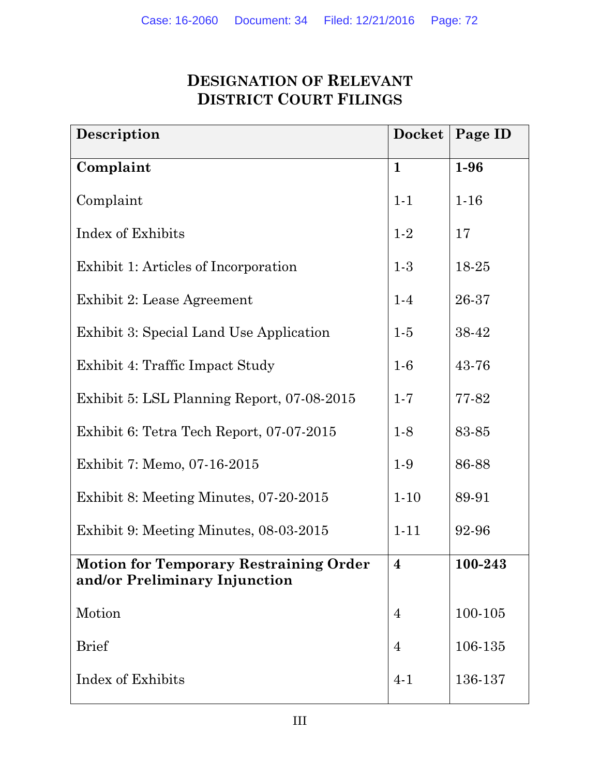# **DESIGNATION OF RELEVANT DISTRICT COURT FILINGS**

| Description                                                                    | <b>Docket</b>  | Page ID  |
|--------------------------------------------------------------------------------|----------------|----------|
| Complaint                                                                      | $\mathbf{1}$   | $1-96$   |
| Complaint                                                                      | $1 - 1$        | $1 - 16$ |
| Index of Exhibits                                                              | $1-2$          | 17       |
| Exhibit 1: Articles of Incorporation                                           | $1-3$          | 18-25    |
| Exhibit 2: Lease Agreement                                                     | $1-4$          | 26-37    |
| Exhibit 3: Special Land Use Application                                        | $1-5$          | 38-42    |
| Exhibit 4: Traffic Impact Study                                                | $1-6$          | 43-76    |
| Exhibit 5: LSL Planning Report, 07-08-2015                                     | $1 - 7$        | 77-82    |
| Exhibit 6: Tetra Tech Report, 07-07-2015                                       | $1-8$          | 83-85    |
| Exhibit 7: Memo, 07-16-2015                                                    | $1-9$          | 86-88    |
| Exhibit 8: Meeting Minutes, 07-20-2015                                         | $1-10$         | 89-91    |
| Exhibit 9: Meeting Minutes, 08-03-2015                                         | $1 - 11$       | 92-96    |
| <b>Motion for Temporary Restraining Order</b><br>and/or Preliminary Injunction | $\overline{4}$ | 100-243  |
| Motion                                                                         | $\overline{4}$ | 100-105  |
| <b>Brief</b>                                                                   | $\overline{4}$ | 106-135  |
| Index of Exhibits                                                              | $4 - 1$        | 136-137  |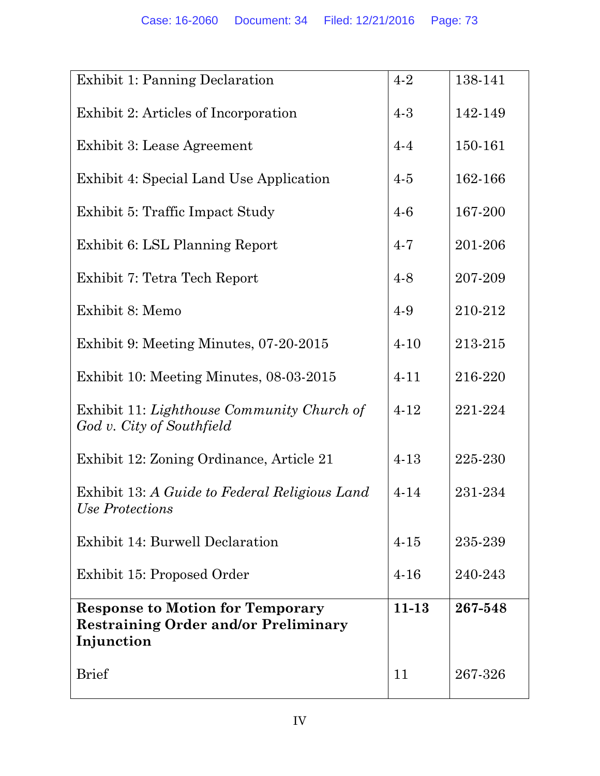| Exhibit 1: Panning Declaration                                                                       | $4 - 2$   | 138-141 |
|------------------------------------------------------------------------------------------------------|-----------|---------|
| Exhibit 2: Articles of Incorporation                                                                 | $4 - 3$   | 142-149 |
| Exhibit 3: Lease Agreement                                                                           | $4 - 4$   | 150-161 |
| Exhibit 4: Special Land Use Application                                                              | $4-5$     | 162-166 |
| Exhibit 5: Traffic Impact Study                                                                      | $4-6$     | 167-200 |
| Exhibit 6: LSL Planning Report                                                                       | $4 - 7$   | 201-206 |
| Exhibit 7: Tetra Tech Report                                                                         | $4 - 8$   | 207-209 |
| Exhibit 8: Memo                                                                                      | 4-9       | 210-212 |
| Exhibit 9: Meeting Minutes, 07-20-2015                                                               | $4 - 10$  | 213-215 |
| Exhibit 10: Meeting Minutes, 08-03-2015                                                              | $4 - 11$  | 216-220 |
| Exhibit 11: Lighthouse Community Church of<br>God v. City of Southfield                              | $4 - 12$  | 221-224 |
| Exhibit 12: Zoning Ordinance, Article 21                                                             | $4 - 13$  | 225-230 |
| Exhibit 13: A Guide to Federal Religious Land<br>Use Protections                                     | $4 - 14$  | 231-234 |
| Exhibit 14: Burwell Declaration                                                                      | $4 - 15$  | 235-239 |
| Exhibit 15: Proposed Order                                                                           | $4 - 16$  | 240-243 |
| <b>Response to Motion for Temporary</b><br><b>Restraining Order and/or Preliminary</b><br>Injunction | $11 - 13$ | 267-548 |
| <b>Brief</b>                                                                                         | 11        | 267-326 |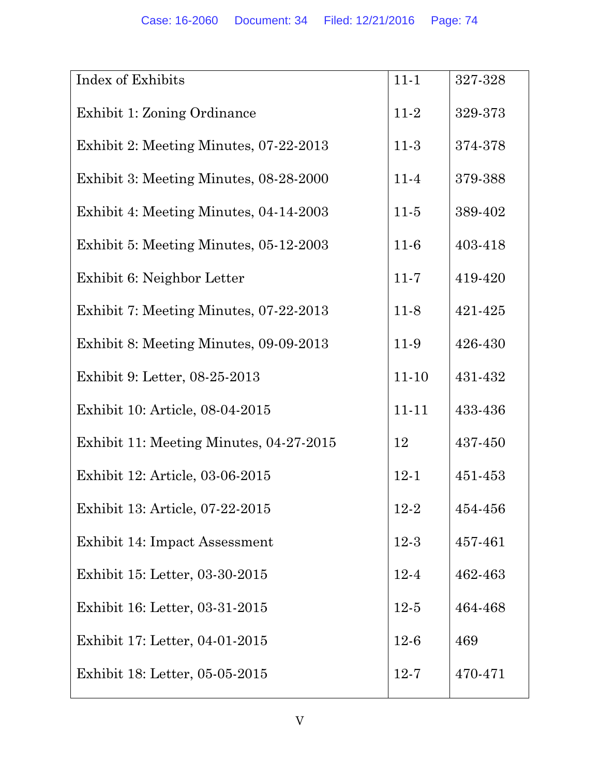| Index of Exhibits                       | $11 - 1$  | 327-328 |
|-----------------------------------------|-----------|---------|
| Exhibit 1: Zoning Ordinance             | $11-2$    | 329-373 |
| Exhibit 2: Meeting Minutes, 07-22-2013  | $11-3$    | 374-378 |
| Exhibit 3: Meeting Minutes, 08-28-2000  | $11-4$    | 379-388 |
| Exhibit 4: Meeting Minutes, 04-14-2003  | $11-5$    | 389-402 |
| Exhibit 5: Meeting Minutes, 05-12-2003  | $11-6$    | 403-418 |
| Exhibit 6: Neighbor Letter              | $11 - 7$  | 419-420 |
| Exhibit 7: Meeting Minutes, 07-22-2013  | $11-8$    | 421-425 |
| Exhibit 8: Meeting Minutes, 09-09-2013  | 11-9      | 426-430 |
| Exhibit 9: Letter, 08-25-2013           | $11 - 10$ | 431-432 |
| Exhibit 10: Article, 08-04-2015         | $11 - 11$ | 433-436 |
| Exhibit 11: Meeting Minutes, 04-27-2015 | 12        | 437-450 |
| Exhibit 12: Article, 03-06-2015         | $12 - 1$  | 451-453 |
| Exhibit 13: Article, 07-22-2015         | $12 - 2$  | 454-456 |
| Exhibit 14: Impact Assessment           | $12-3$    | 457-461 |
| Exhibit 15: Letter, 03-30-2015          | $12 - 4$  | 462-463 |
| Exhibit 16: Letter, 03-31-2015          | $12-5$    | 464-468 |
| Exhibit 17: Letter, 04-01-2015          | $12 - 6$  | 469     |
| Exhibit 18: Letter, 05-05-2015          | $12 - 7$  | 470-471 |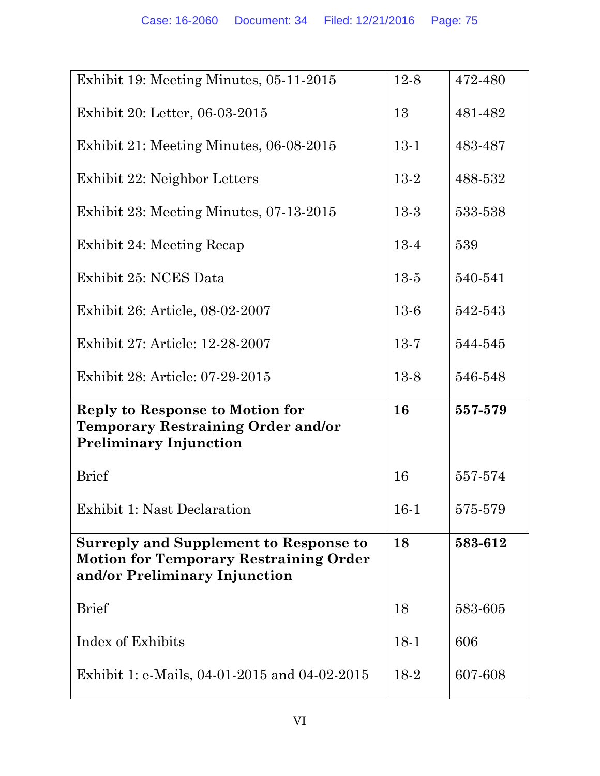| Exhibit 19: Meeting Minutes, 05-11-2015                                        | $12-8$   | 472-480 |
|--------------------------------------------------------------------------------|----------|---------|
| Exhibit 20: Letter, 06-03-2015                                                 | 13       | 481-482 |
| Exhibit 21: Meeting Minutes, 06-08-2015                                        | $13-1$   | 483-487 |
| Exhibit 22: Neighbor Letters                                                   | 13-2     | 488-532 |
| Exhibit 23: Meeting Minutes, 07-13-2015                                        | $13-3$   | 533-538 |
| Exhibit 24: Meeting Recap                                                      | 13-4     | 539     |
| Exhibit 25: NCES Data                                                          | $13-5$   | 540-541 |
| Exhibit 26: Article, 08-02-2007                                                | $13-6$   | 542-543 |
| Exhibit 27: Article: 12-28-2007                                                | $13-7$   | 544-545 |
| Exhibit 28: Article: 07-29-2015                                                | $13-8$   | 546-548 |
| <b>Reply to Response to Motion for</b>                                         | 16       | 557-579 |
| <b>Temporary Restraining Order and/or</b><br><b>Preliminary Injunction</b>     |          |         |
|                                                                                |          |         |
| <b>Brief</b>                                                                   | 16       | 557-574 |
| <b>Exhibit 1: Nast Declaration</b>                                             | $16 - 1$ | 575-579 |
| <b>Surreply and Supplement to Response to</b>                                  |          |         |
|                                                                                | 18       | 583-612 |
| <b>Motion for Temporary Restraining Order</b><br>and/or Preliminary Injunction |          |         |
| <b>Brief</b>                                                                   | 18       | 583-605 |
| Index of Exhibits                                                              | $18-1$   | 606     |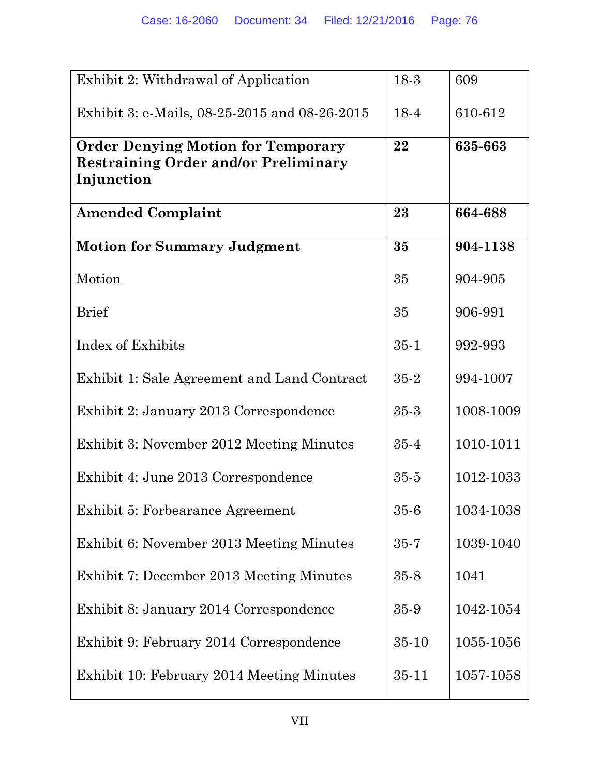| Exhibit 2: Withdrawal of Application                                                                   | 18-3      | 609       |
|--------------------------------------------------------------------------------------------------------|-----------|-----------|
| Exhibit 3: e-Mails, 08-25-2015 and 08-26-2015                                                          | 18-4      | 610-612   |
| <b>Order Denying Motion for Temporary</b><br><b>Restraining Order and/or Preliminary</b><br>Injunction | 22        | 635-663   |
| <b>Amended Complaint</b>                                                                               | 23        | 664-688   |
| <b>Motion for Summary Judgment</b>                                                                     | 35        | 904-1138  |
| Motion                                                                                                 | 35        | 904-905   |
| <b>Brief</b>                                                                                           | 35        | 906-991   |
| Index of Exhibits                                                                                      | $35 - 1$  | 992-993   |
| Exhibit 1: Sale Agreement and Land Contract                                                            | $35 - 2$  | 994-1007  |
| Exhibit 2: January 2013 Correspondence                                                                 | $35 - 3$  | 1008-1009 |
| Exhibit 3: November 2012 Meeting Minutes                                                               | $35 - 4$  | 1010-1011 |
| Exhibit 4: June 2013 Correspondence                                                                    | $35 - 5$  | 1012-1033 |
| Exhibit 5: Forbearance Agreement                                                                       | $35-6$    | 1034-1038 |
| Exhibit 6: November 2013 Meeting Minutes                                                               | $35 - 7$  | 1039-1040 |
| Exhibit 7: December 2013 Meeting Minutes                                                               | $35 - 8$  | 1041      |
| Exhibit 8: January 2014 Correspondence                                                                 | 35-9      | 1042-1054 |
| Exhibit 9: February 2014 Correspondence                                                                | $35 - 10$ | 1055-1056 |
| Exhibit 10: February 2014 Meeting Minutes                                                              | $35 - 11$ | 1057-1058 |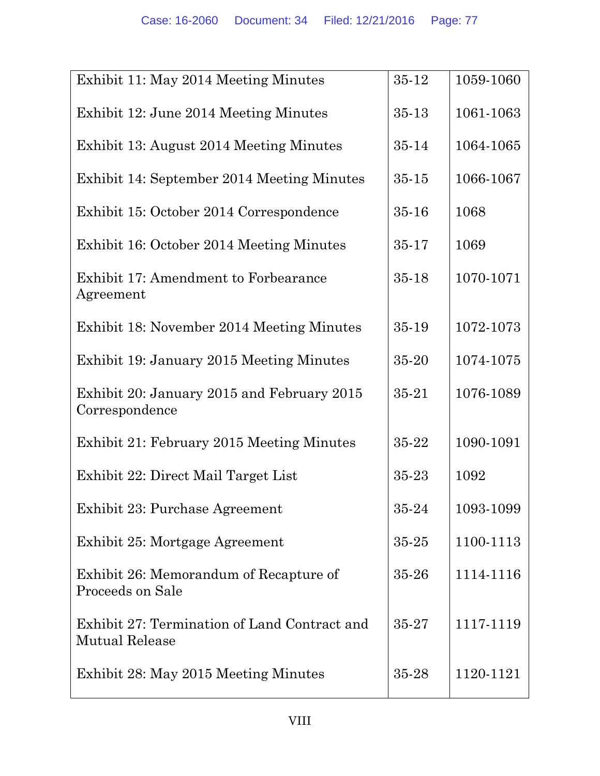| Exhibit 11: May 2014 Meeting Minutes                                  | 35-12     | 1059-1060 |
|-----------------------------------------------------------------------|-----------|-----------|
| Exhibit 12: June 2014 Meeting Minutes                                 | $35 - 13$ | 1061-1063 |
| Exhibit 13: August 2014 Meeting Minutes                               | $35 - 14$ | 1064-1065 |
| Exhibit 14: September 2014 Meeting Minutes                            | $35 - 15$ | 1066-1067 |
| Exhibit 15: October 2014 Correspondence                               | $35 - 16$ | 1068      |
| Exhibit 16: October 2014 Meeting Minutes                              | 35-17     | 1069      |
| Exhibit 17: Amendment to Forbearance<br>Agreement                     | 35-18     | 1070-1071 |
| Exhibit 18: November 2014 Meeting Minutes                             | 35-19     | 1072-1073 |
| Exhibit 19: January 2015 Meeting Minutes                              | 35-20     | 1074-1075 |
| Exhibit 20: January 2015 and February 2015<br>Correspondence          | 35-21     | 1076-1089 |
| Exhibit 21: February 2015 Meeting Minutes                             | 35-22     | 1090-1091 |
| Exhibit 22: Direct Mail Target List                                   | 35-23     | 1092      |
| Exhibit 23: Purchase Agreement                                        | 35-24     | 1093-1099 |
| Exhibit 25: Mortgage Agreement                                        | $35 - 25$ | 1100-1113 |
| Exhibit 26: Memorandum of Recapture of<br>Proceeds on Sale            | 35-26     | 1114-1116 |
| Exhibit 27: Termination of Land Contract and<br><b>Mutual Release</b> | 35-27     | 1117-1119 |
| Exhibit 28: May 2015 Meeting Minutes                                  | 35-28     | 1120-1121 |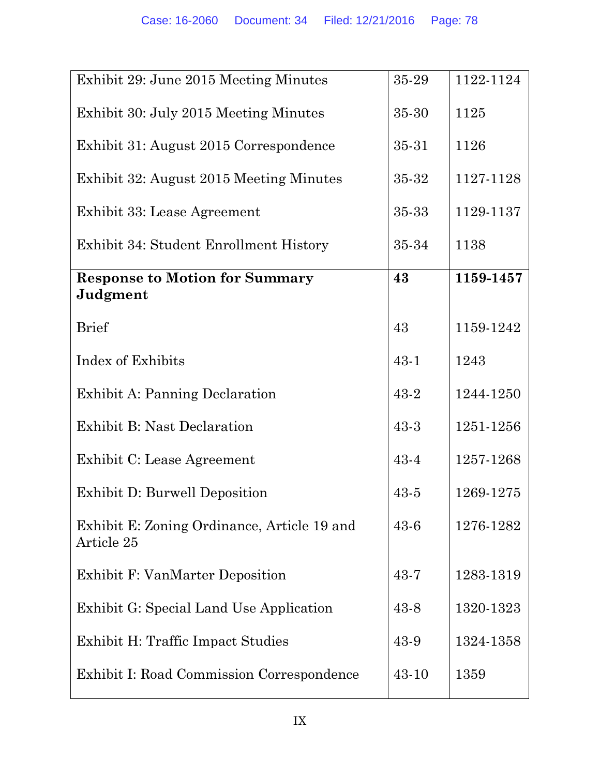| Exhibit 29: June 2015 Meeting Minutes                     | 35-29    | 1122-1124 |
|-----------------------------------------------------------|----------|-----------|
| Exhibit 30: July 2015 Meeting Minutes                     | 35-30    | 1125      |
| Exhibit 31: August 2015 Correspondence                    | 35-31    | 1126      |
| Exhibit 32: August 2015 Meeting Minutes                   | 35-32    | 1127-1128 |
| Exhibit 33: Lease Agreement                               | 35-33    | 1129-1137 |
| Exhibit 34: Student Enrollment History                    | 35-34    | 1138      |
| <b>Response to Motion for Summary</b><br>Judgment         | 43       | 1159-1457 |
|                                                           |          |           |
| <b>Brief</b>                                              | 43       | 1159-1242 |
| Index of Exhibits                                         | $43 - 1$ | 1243      |
| Exhibit A: Panning Declaration                            | $43 - 2$ | 1244-1250 |
| <b>Exhibit B: Nast Declaration</b>                        | $43-3$   | 1251-1256 |
| Exhibit C: Lease Agreement                                | $43 - 4$ | 1257-1268 |
| <b>Exhibit D: Burwell Deposition</b>                      | $43 - 5$ | 1269-1275 |
| Exhibit E: Zoning Ordinance, Article 19 and<br>Article 25 | $43 - 6$ | 1276-1282 |
| Exhibit F: VanMarter Deposition                           | $43 - 7$ | 1283-1319 |
| Exhibit G: Special Land Use Application                   | 43-8     | 1320-1323 |
| Exhibit H: Traffic Impact Studies                         | 43-9     | 1324-1358 |
| <b>Exhibit I: Road Commission Correspondence</b>          | 43-10    | 1359      |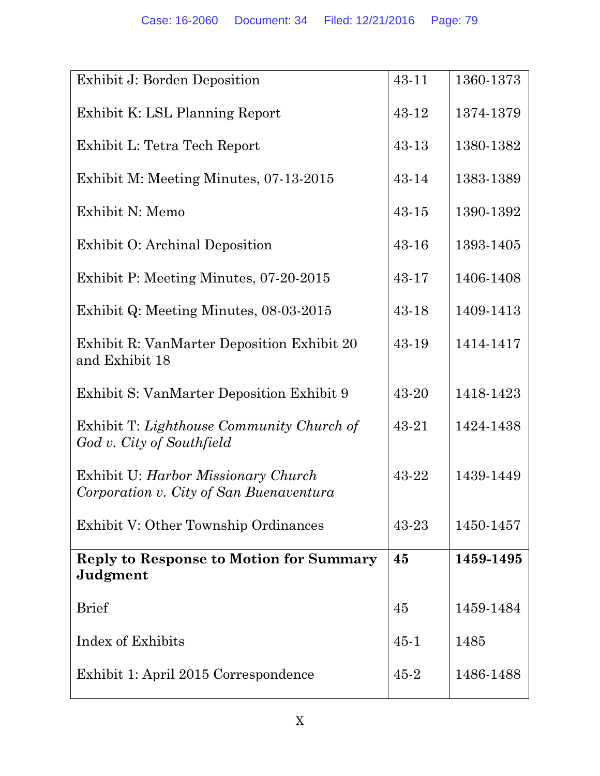| Exhibit J: Borden Deposition                                                   | 43-11     | 1360-1373 |
|--------------------------------------------------------------------------------|-----------|-----------|
| Exhibit K: LSL Planning Report                                                 | 43-12     | 1374-1379 |
| Exhibit L: Tetra Tech Report                                                   | 43-13     | 1380-1382 |
| Exhibit M: Meeting Minutes, 07-13-2015                                         | 43-14     | 1383-1389 |
| Exhibit N: Memo                                                                | $43 - 15$ | 1390-1392 |
| Exhibit O: Archinal Deposition                                                 | 43-16     | 1393-1405 |
| Exhibit P: Meeting Minutes, 07-20-2015                                         | 43-17     | 1406-1408 |
| Exhibit Q: Meeting Minutes, 08-03-2015                                         | 43-18     | 1409-1413 |
| Exhibit R: VanMarter Deposition Exhibit 20<br>and Exhibit 18                   | 43-19     | 1414-1417 |
| Exhibit S: VanMarter Deposition Exhibit 9                                      | 43-20     | 1418-1423 |
| Exhibit T: Lighthouse Community Church of<br>God v. City of Southfield         | 43-21     | 1424-1438 |
| Exhibit U: Harbor Missionary Church<br>Corporation v. City of San Buenaventura | 43-22     | 1439-1449 |
| Exhibit V: Other Township Ordinances                                           | 43-23     | 1450-1457 |
| <b>Reply to Response to Motion for Summary</b><br>Judgment                     | 45        | 1459-1495 |
| <b>Brief</b>                                                                   | 45        | 1459-1484 |
| Index of Exhibits                                                              | $45 - 1$  | 1485      |
| Exhibit 1: April 2015 Correspondence                                           | $45 - 2$  | 1486-1488 |